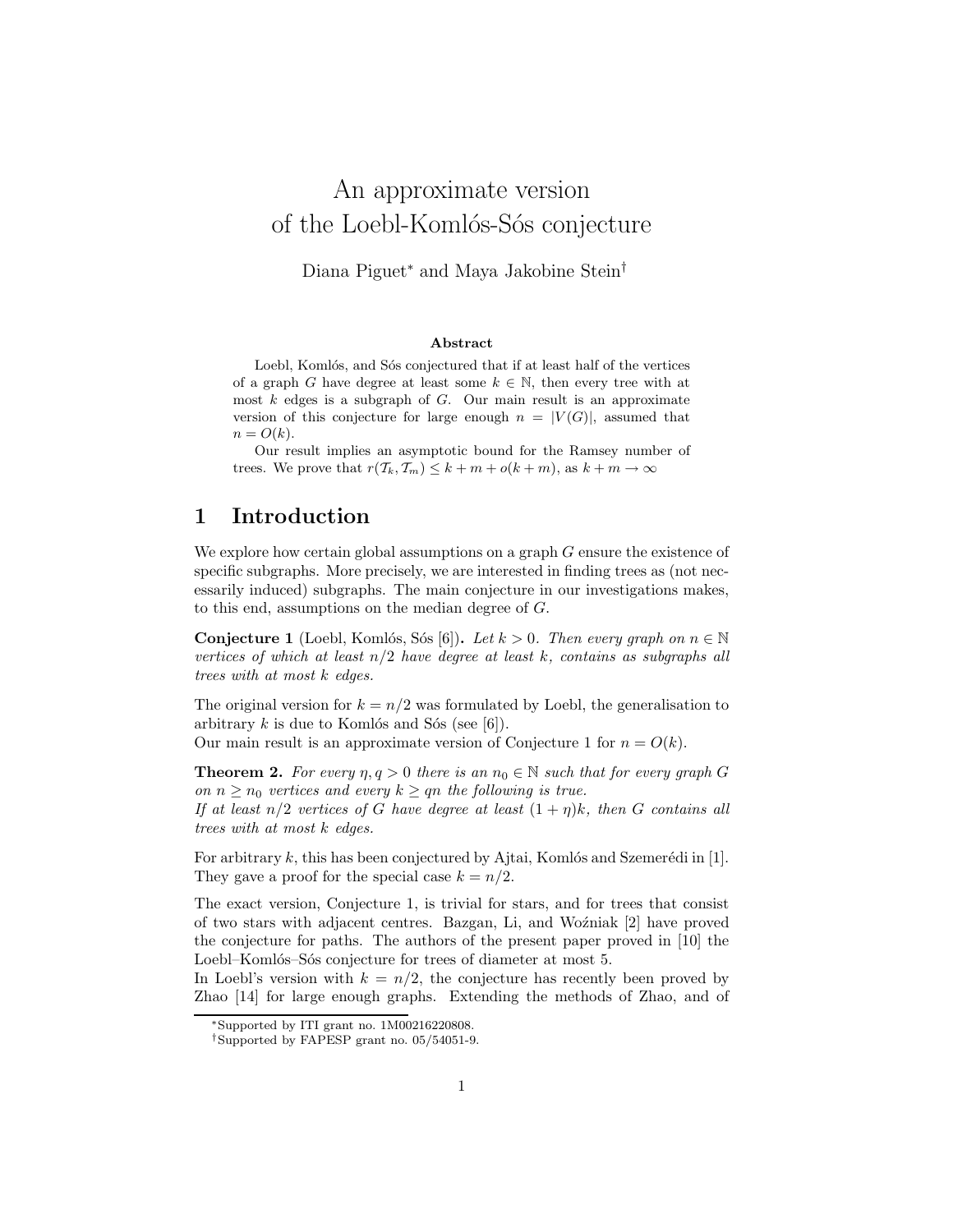# An approximate version of the Loebl-Komlós-Sós conjecture

Diana Piguet<sup>∗</sup> and Maya Jakobine Stein†

#### Abstract

Loebl, Komlós, and Sós conjectured that if at least half of the vertices of a graph G have degree at least some  $k \in \mathbb{N}$ , then every tree with at most  $k$  edges is a subgraph of  $G$ . Our main result is an approximate version of this conjecture for large enough  $n = |V(G)|$ , assumed that  $n = O(k)$ .

Our result implies an asymptotic bound for the Ramsey number of trees. We prove that  $r(\mathcal{T}_k, \mathcal{T}_m) \leq k + m + o(k + m)$ , as  $k + m \to \infty$ 

# 1 Introduction

We explore how certain global assumptions on a graph G ensure the existence of specific subgraphs. More precisely, we are interested in finding trees as (not necessarily induced) subgraphs. The main conjecture in our investigations makes, to this end, assumptions on the median degree of G.

Conjecture 1 (Loebl, Komlós, Sós [6]). Let  $k > 0$ . Then every graph on  $n \in \mathbb{N}$ vertices of which at least  $n/2$  have degree at least k, contains as subgraphs all trees with at most k edges.

The original version for  $k = n/2$  was formulated by Loebl, the generalisation to arbitrary k is due to Komlós and Sós (see [6]).

Our main result is an approximate version of Conjecture 1 for  $n = O(k)$ .

**Theorem 2.** For every  $\eta, q > 0$  there is an  $n_0 \in \mathbb{N}$  such that for every graph G on  $n \geq n_0$  vertices and every  $k \geq q_n$  the following is true.

If at least  $n/2$  vertices of G have degree at least  $(1 + \eta)k$ , then G contains all trees with at most k edges.

For arbitrary  $k$ , this has been conjectured by Ajtai, Komlós and Szemerédi in [1]. They gave a proof for the special case  $k = n/2$ .

The exact version, Conjecture 1, is trivial for stars, and for trees that consist of two stars with adjacent centres. Bazgan, Li, and Wo $\zeta$ zniak [2] have proved the conjecture for paths. The authors of the present paper proved in [10] the Loebl–Komlós–Sós conjecture for trees of diameter at most 5.

In Loebl's version with  $k = n/2$ , the conjecture has recently been proved by Zhao [14] for large enough graphs. Extending the methods of Zhao, and of

<sup>∗</sup>Supported by ITI grant no. 1M00216220808.

<sup>†</sup>Supported by FAPESP grant no. 05/54051-9.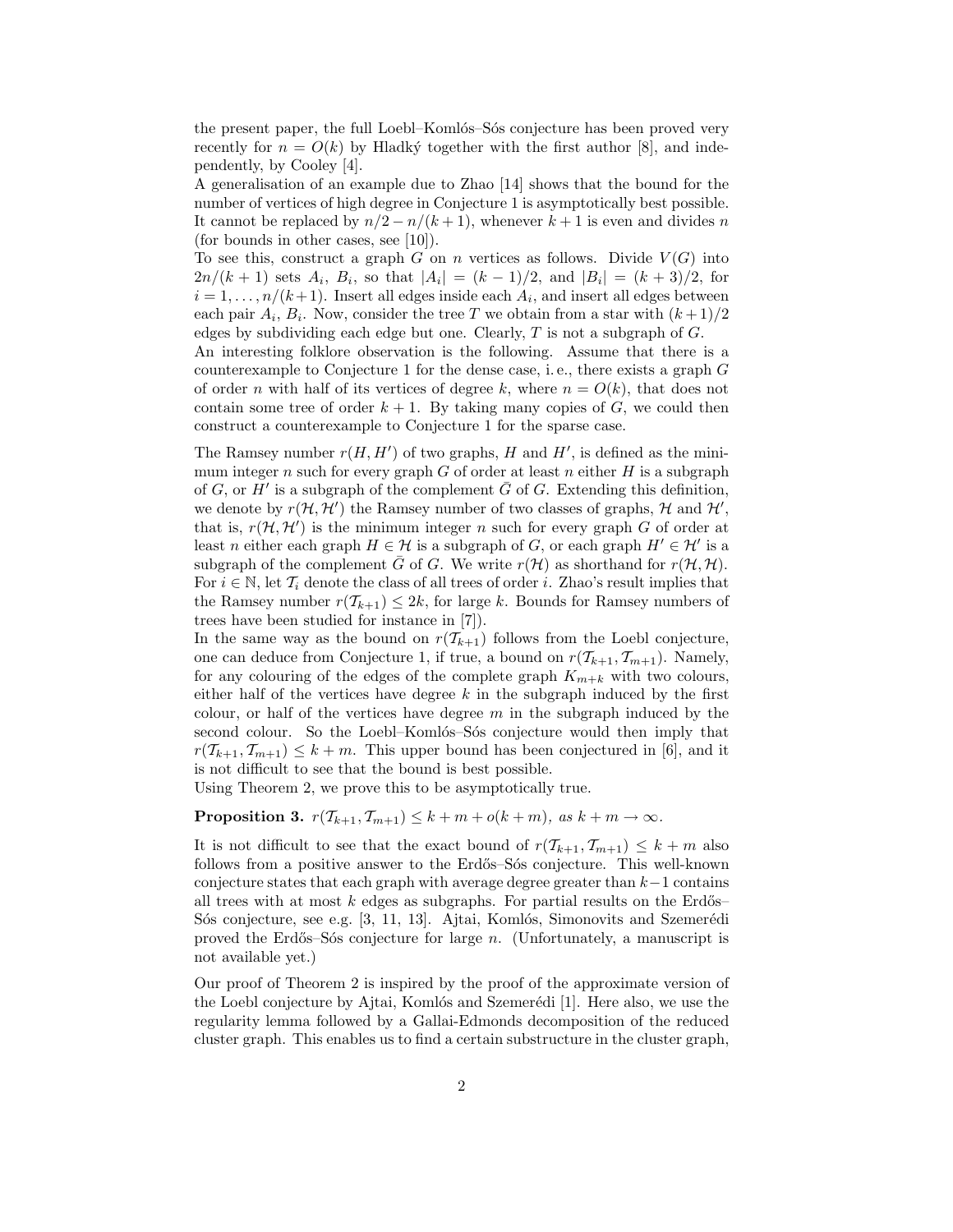the present paper, the full Loebl–Komlós–Sós conjecture has been proved very recently for  $n = O(k)$  by Hladký together with the first author [8], and independently, by Cooley [4].

A generalisation of an example due to Zhao [14] shows that the bound for the number of vertices of high degree in Conjecture 1 is asymptotically best possible. It cannot be replaced by  $n/2 - n/(k+1)$ , whenever  $k+1$  is even and divides n (for bounds in other cases, see [10]).

To see this, construct a graph G on n vertices as follows. Divide  $V(G)$  into  $2n/(k+1)$  sets  $A_i$ ,  $B_i$ , so that  $|A_i| = (k-1)/2$ , and  $|B_i| = (k+3)/2$ , for  $i = 1, \ldots, n/(k+1)$ . Insert all edges inside each  $A_i$ , and insert all edges between each pair  $A_i$ ,  $B_i$ . Now, consider the tree T we obtain from a star with  $(k+1)/2$ edges by subdividing each edge but one. Clearly,  $T$  is not a subgraph of  $G$ .

An interesting folklore observation is the following. Assume that there is a counterexample to Conjecture 1 for the dense case, i.e., there exists a graph  $G$ of order n with half of its vertices of degree k, where  $n = O(k)$ , that does not contain some tree of order  $k + 1$ . By taking many copies of G, we could then construct a counterexample to Conjecture 1 for the sparse case.

The Ramsey number  $r(H, H')$  of two graphs, H and H', is defined as the minimum integer n such for every graph  $G$  of order at least n either  $H$  is a subgraph of G, or  $H'$  is a subgraph of the complement  $\bar{G}$  of G. Extending this definition, we denote by  $r(\mathcal{H}, \mathcal{H}')$  the Ramsey number of two classes of graphs,  $\mathcal{H}$  and  $\mathcal{H}',$ that is,  $r(\mathcal{H}, \mathcal{H}')$  is the minimum integer *n* such for every graph G of order at least n either each graph  $H \in \mathcal{H}$  is a subgraph of G, or each graph  $H' \in \mathcal{H}'$  is a subgraph of the complement  $\bar{G}$  of G. We write  $r(\mathcal{H})$  as shorthand for  $r(\mathcal{H}, \mathcal{H})$ . For  $i \in \mathbb{N}$ , let  $\mathcal{T}_i$  denote the class of all trees of order i. Zhao's result implies that the Ramsey number  $r(\mathcal{T}_{k+1}) \leq 2k$ , for large k. Bounds for Ramsey numbers of trees have been studied for instance in [7]).

In the same way as the bound on  $r(\mathcal{T}_{k+1})$  follows from the Loebl conjecture, one can deduce from Conjecture 1, if true, a bound on  $r(\mathcal{T}_{k+1}, \mathcal{T}_{m+1})$ . Namely, for any colouring of the edges of the complete graph  $K_{m+k}$  with two colours, either half of the vertices have degree  $k$  in the subgraph induced by the first colour, or half of the vertices have degree  $m$  in the subgraph induced by the second colour. So the Loebl–Komlós–Sós conjecture would then imply that  $r(\mathcal{T}_{k+1}, \mathcal{T}_{m+1}) \leq k+m$ . This upper bound has been conjectured in [6], and it is not difficult to see that the bound is best possible.

Using Theorem 2, we prove this to be asymptotically true.

## **Proposition 3.**  $r(\mathcal{T}_{k+1}, \mathcal{T}_{m+1}) \leq k+m+o(k+m)$ , as  $k+m \to \infty$ .

It is not difficult to see that the exact bound of  $r(\mathcal{T}_{k+1}, \mathcal{T}_{m+1}) \leq k+m$  also follows from a positive answer to the Erdős–Sós conjecture. This well-known conjecture states that each graph with average degree greater than  $k-1$  contains all trees with at most  $k$  edges as subgraphs. For partial results on the Erdős– Sós conjecture, see e.g. [3, 11, 13]. Ajtai, Komlós, Simonovits and Szemerédi proved the Erdős–Sós conjecture for large  $n$ . (Unfortunately, a manuscript is not available yet.)

Our proof of Theorem 2 is inspired by the proof of the approximate version of the Loebl conjecture by Ajtai, Komlós and Szemerédi [1]. Here also, we use the regularity lemma followed by a Gallai-Edmonds decomposition of the reduced cluster graph. This enables us to find a certain substructure in the cluster graph,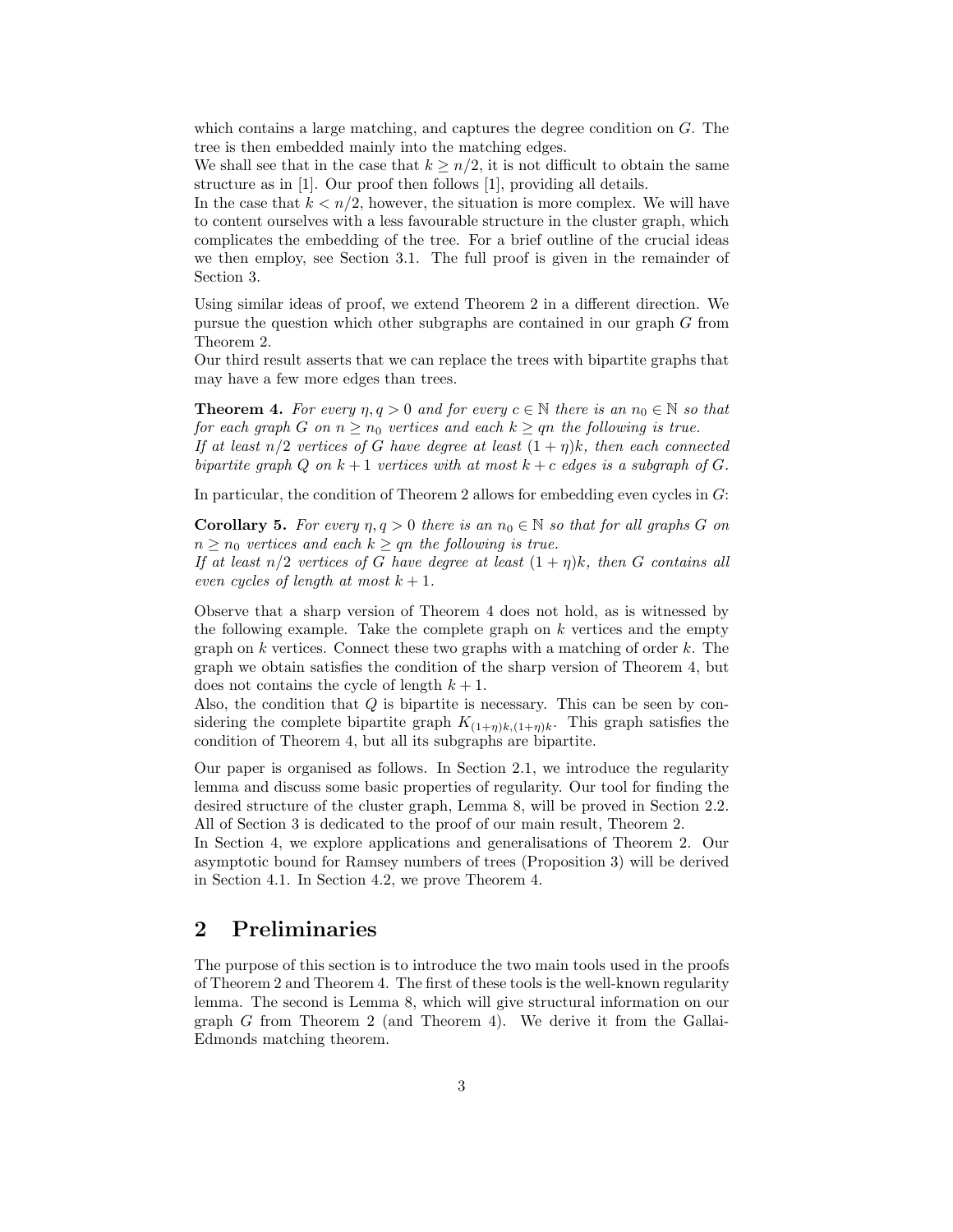which contains a large matching, and captures the degree condition on G. The tree is then embedded mainly into the matching edges.

We shall see that in the case that  $k \geq n/2$ , it is not difficult to obtain the same structure as in [1]. Our proof then follows [1], providing all details.

In the case that  $k < n/2$ , however, the situation is more complex. We will have to content ourselves with a less favourable structure in the cluster graph, which complicates the embedding of the tree. For a brief outline of the crucial ideas we then employ, see Section 3.1. The full proof is given in the remainder of Section 3.

Using similar ideas of proof, we extend Theorem 2 in a different direction. We pursue the question which other subgraphs are contained in our graph G from Theorem 2.

Our third result asserts that we can replace the trees with bipartite graphs that may have a few more edges than trees.

**Theorem 4.** For every  $\eta, q > 0$  and for every  $c \in \mathbb{N}$  there is an  $n_0 \in \mathbb{N}$  so that for each graph G on  $n \ge n_0$  vertices and each  $k \ge q_n$  the following is true.

If at least  $n/2$  vertices of G have degree at least  $(1 + \eta)k$ , then each connected bipartite graph Q on  $k + 1$  vertices with at most  $k + c$  edges is a subgraph of G.

In particular, the condition of Theorem 2 allows for embedding even cycles in  $G$ :

**Corollary 5.** For every  $\eta, q > 0$  there is an  $n_0 \in \mathbb{N}$  so that for all graphs G on  $n \geq n_0$  vertices and each  $k \geq q$  the following is true.

If at least  $n/2$  vertices of G have degree at least  $(1 + \eta)k$ , then G contains all even cycles of length at most  $k + 1$ .

Observe that a sharp version of Theorem 4 does not hold, as is witnessed by the following example. Take the complete graph on  $k$  vertices and the empty graph on  $k$  vertices. Connect these two graphs with a matching of order  $k$ . The graph we obtain satisfies the condition of the sharp version of Theorem 4, but does not contains the cycle of length  $k + 1$ .

Also, the condition that  $Q$  is bipartite is necessary. This can be seen by considering the complete bipartite graph  $K_{(1+\eta)k,(1+\eta)k}$ . This graph satisfies the condition of Theorem 4, but all its subgraphs are bipartite.

Our paper is organised as follows. In Section 2.1, we introduce the regularity lemma and discuss some basic properties of regularity. Our tool for finding the desired structure of the cluster graph, Lemma 8, will be proved in Section 2.2. All of Section 3 is dedicated to the proof of our main result, Theorem 2.

In Section 4, we explore applications and generalisations of Theorem 2. Our asymptotic bound for Ramsey numbers of trees (Proposition 3) will be derived in Section 4.1. In Section 4.2, we prove Theorem 4.

## 2 Preliminaries

The purpose of this section is to introduce the two main tools used in the proofs of Theorem 2 and Theorem 4. The first of these tools is the well-known regularity lemma. The second is Lemma 8, which will give structural information on our graph G from Theorem 2 (and Theorem 4). We derive it from the Gallai-Edmonds matching theorem.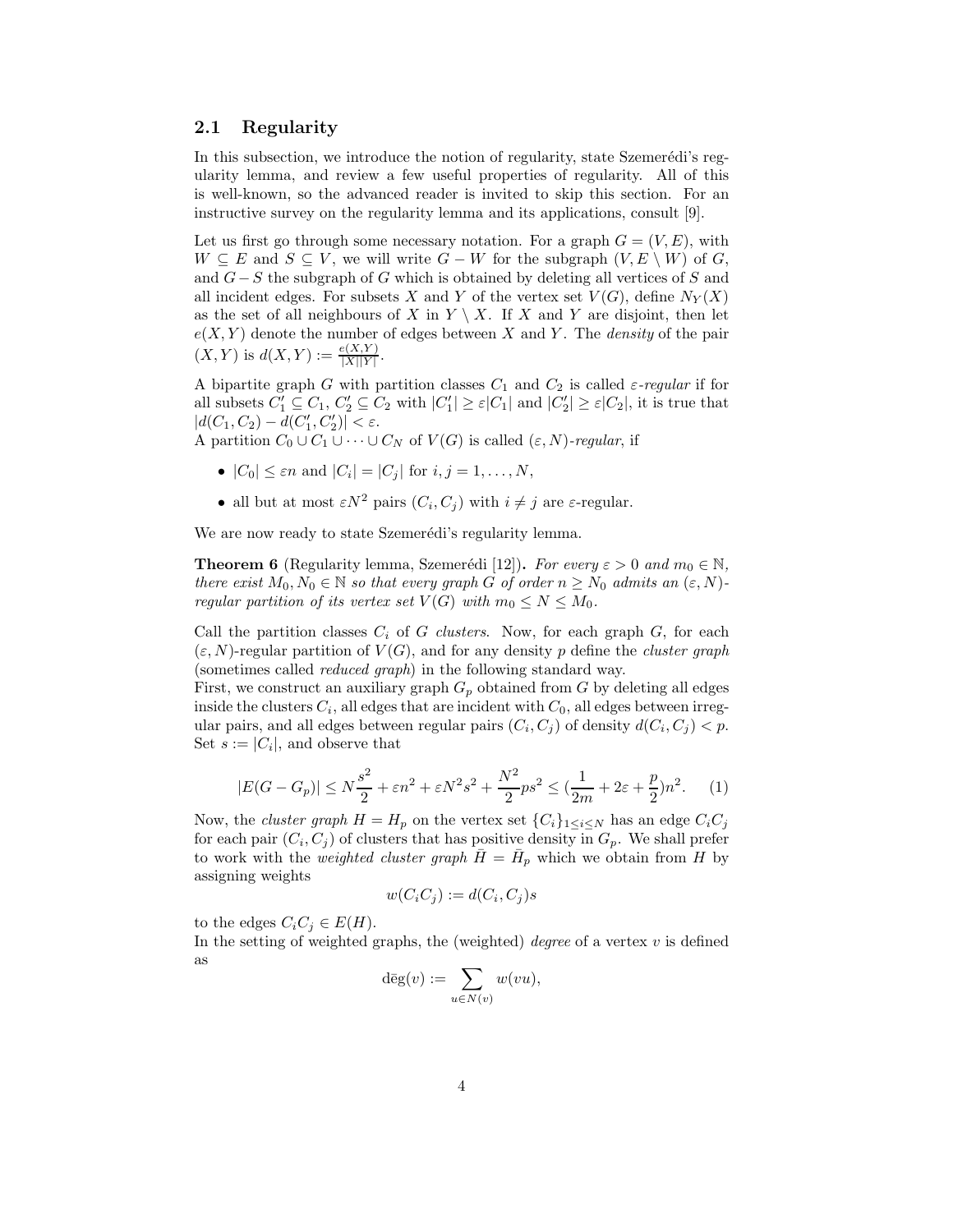## 2.1 Regularity

In this subsection, we introduce the notion of regularity, state Szemerédi's regularity lemma, and review a few useful properties of regularity. All of this is well-known, so the advanced reader is invited to skip this section. For an instructive survey on the regularity lemma and its applications, consult [9].

Let us first go through some necessary notation. For a graph  $G = (V, E)$ , with  $W \subseteq E$  and  $S \subseteq V$ , we will write  $G - W$  for the subgraph  $(V, E \setminus W)$  of G, and  $G-S$  the subgraph of G which is obtained by deleting all vertices of S and all incident edges. For subsets X and Y of the vertex set  $V(G)$ , define  $N_Y(X)$ as the set of all neighbours of X in  $Y \setminus X$ . If X and Y are disjoint, then let  $e(X, Y)$  denote the number of edges between X and Y. The *density* of the pair  $(X, Y)$  is  $d(X, Y) := \frac{e(X, Y)}{|X||Y|}.$ 

A bipartite graph G with partition classes  $C_1$  and  $C_2$  is called  $\varepsilon$ -regular if for all subsets  $C'_1 \subseteq C_1$ ,  $C'_2 \subseteq C_2$  with  $|C'_1| \geq \varepsilon |C_1|$  and  $|C'_2| \geq \varepsilon |C_2|$ , it is true that  $|d(C_1, C_2) - d(C'_1, C'_2)| < \varepsilon.$ 

A partition  $C_0 \cup C_1 \cup \cdots \cup C_N$  of  $V(G)$  is called  $(\varepsilon, N)$ -regular, if

- $|C_0| \leq \varepsilon n$  and  $|C_i| = |C_j|$  for  $i, j = 1, \ldots, N$ ,
- all but at most  $\varepsilon N^2$  pairs  $(C_i, C_j)$  with  $i \neq j$  are  $\varepsilon$ -regular.

We are now ready to state Szemerédi's regularity lemma.

**Theorem 6** (Regularity lemma, Szemerédi [12]). For every  $\varepsilon > 0$  and  $m_0 \in \mathbb{N}$ , there exist  $M_0, N_0 \in \mathbb{N}$  so that every graph G of order  $n \geq N_0$  admits an  $(\varepsilon, N)$ regular partition of its vertex set  $V(G)$  with  $m_0 \leq N \leq M_0$ .

Call the partition classes  $C_i$  of G clusters. Now, for each graph  $G$ , for each  $(\varepsilon, N)$ -regular partition of  $V(G)$ , and for any density p define the *cluster graph* (sometimes called reduced graph) in the following standard way.

First, we construct an auxiliary graph  $G_p$  obtained from G by deleting all edges inside the clusters  $C_i$ , all edges that are incident with  $C_0$ , all edges between irregular pairs, and all edges between regular pairs  $(C_i, C_j)$  of density  $d(C_i, C_j) < p$ . Set  $s := |C_i|$ , and observe that

$$
|E(G - G_p)| \le N\frac{s^2}{2} + \varepsilon n^2 + \varepsilon N^2 s^2 + \frac{N^2}{2} p s^2 \le (\frac{1}{2m} + 2\varepsilon + \frac{p}{2})n^2. \tag{1}
$$

Now, the *cluster graph*  $H = H_p$  on the vertex set  $\{C_i\}_{1 \leq i \leq N}$  has an edge  $C_i C_j$ for each pair  $(C_i, C_j)$  of clusters that has positive density in  $G_p$ . We shall prefer to work with the *weighted cluster graph*  $\overline{H} = \overline{H}_p$  which we obtain from H by assigning weights

$$
w(C_i C_j) := d(C_i, C_j)s
$$

to the edges  $C_iC_j \in E(H)$ .

In the setting of weighted graphs, the (weighted) *degree* of a vertex  $v$  is defined as

$$
\deg(v) := \sum_{u \in N(v)} w(vu),
$$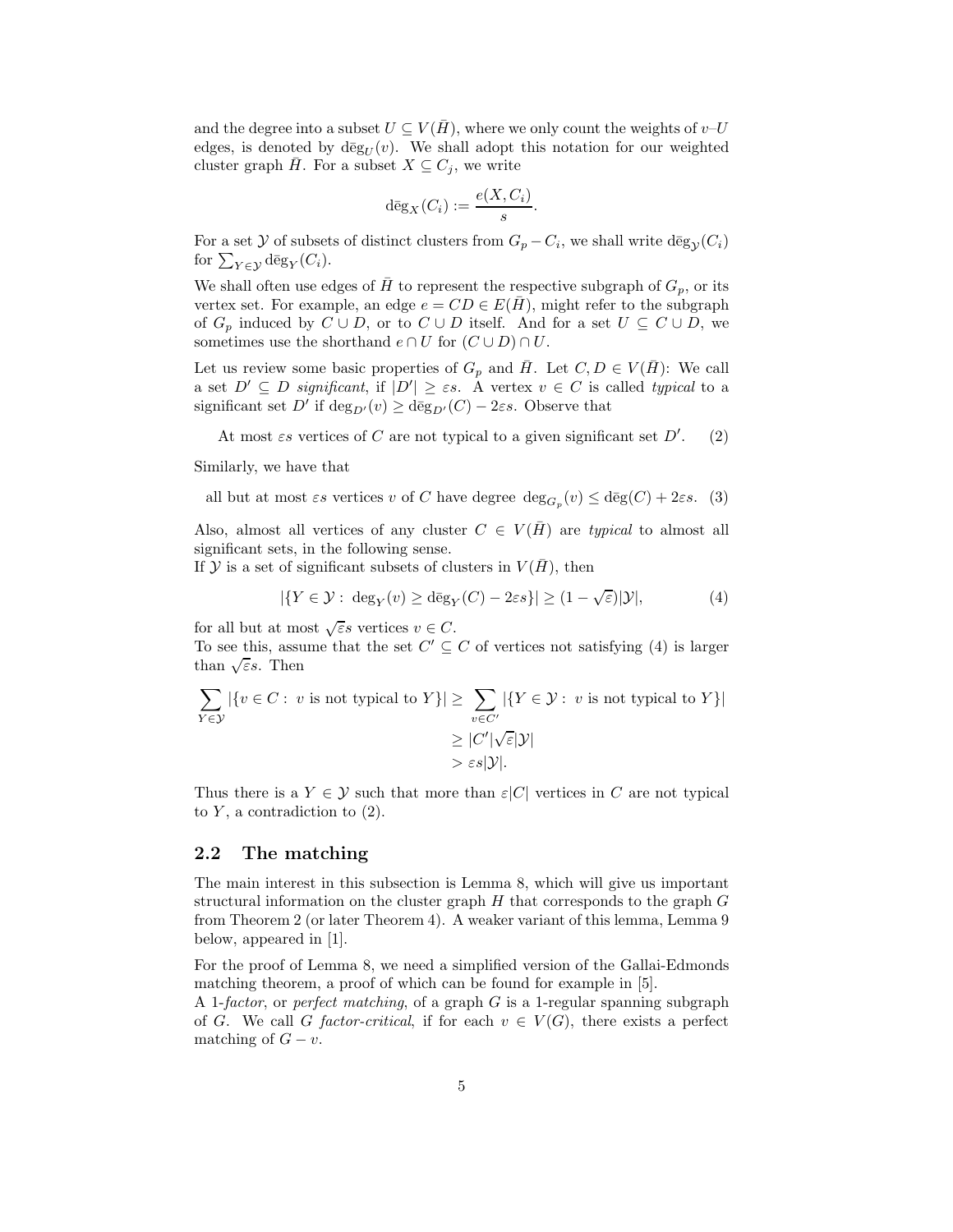and the degree into a subset  $U \subseteq V(\overline{H})$ , where we only count the weights of  $v-U$ edges, is denoted by  $\deg_U(v)$ . We shall adopt this notation for our weighted cluster graph  $\overline{H}$ . For a subset  $X \subseteq C_j$ , we write

$$
\deg_X(C_i) := \frac{e(X, C_i)}{s}.
$$

For a set  $\mathcal Y$  of subsets of distinct clusters from  $G_p - C_i$ , we shall write  $\deg_{\mathcal Y}(C_i)$ for  $\sum_{Y \in \mathcal{Y}} \text{deg}_Y(C_i)$ .

We shall often use edges of  $\bar{H}$  to represent the respective subgraph of  $G_p$ , or its vertex set. For example, an edge  $e = CD \in E(H)$ , might refer to the subgraph of  $G_p$  induced by  $C \cup D$ , or to  $C \cup D$  itself. And for a set  $U \subseteq C \cup D$ , we sometimes use the shorthand  $e \cap U$  for  $(C \cup D) \cap U$ .

Let us review some basic properties of  $G_p$  and  $\overline{H}$ . Let  $C, D \in V(\overline{H})$ : We call a set  $D' \subseteq D$  significant, if  $|D'| \geq \varepsilon s$ . A vertex  $v \in C$  is called typical to a significant set  $D'$  if  $\deg_{D'}(v) \ge \deg_{D'}(C) - 2\varepsilon s$ . Observe that

At most  $\epsilon s$  vertices of C are not typical to a given significant set  $D'$ . . (2)

Similarly, we have that

all but at most  $\varepsilon s$  vertices v of C have degree  $\deg_{G_p}(v) \leq \deg(C) + 2\varepsilon s$ . (3)

Also, almost all vertices of any cluster  $C \in V(\overline{H})$  are typical to almost all significant sets, in the following sense.

If Y is a set of significant subsets of clusters in  $V(\bar{H})$ , then

$$
|\{Y \in \mathcal{Y} : \deg_Y(v) \ge \deg_Y(C) - 2\varepsilon s\}| \ge (1 - \sqrt{\varepsilon})|\mathcal{Y}|,\tag{4}
$$

for all but at most  $\sqrt{\varepsilon} s$  vertices  $v \in C$ .

To see this, assume that the set  $C' \subseteq C$  of vertices not satisfying (4) is larger than  $\sqrt{\varepsilon}$ s. Then

$$
\sum_{Y \in \mathcal{Y}} |\{v \in C : v \text{ is not typical to } Y\}| \ge \sum_{v \in C'} |\{Y \in \mathcal{Y} : v \text{ is not typical to } Y\}|
$$
  

$$
\ge |C'|\sqrt{\varepsilon}|\mathcal{Y}|
$$
  

$$
> \varepsilon s|\mathcal{Y}|.
$$

Thus there is a  $Y \in \mathcal{Y}$  such that more than  $\varepsilon |C|$  vertices in C are not typical to  $Y$ , a contradiction to  $(2)$ .

## 2.2 The matching

The main interest in this subsection is Lemma 8, which will give us important structural information on the cluster graph  $H$  that corresponds to the graph  $G$ from Theorem 2 (or later Theorem 4). A weaker variant of this lemma, Lemma 9 below, appeared in [1].

For the proof of Lemma 8, we need a simplified version of the Gallai-Edmonds matching theorem, a proof of which can be found for example in [5].

A 1-factor, or perfect matching, of a graph  $G$  is a 1-regular spanning subgraph of G. We call G factor-critical, if for each  $v \in V(G)$ , there exists a perfect matching of  $G - v$ .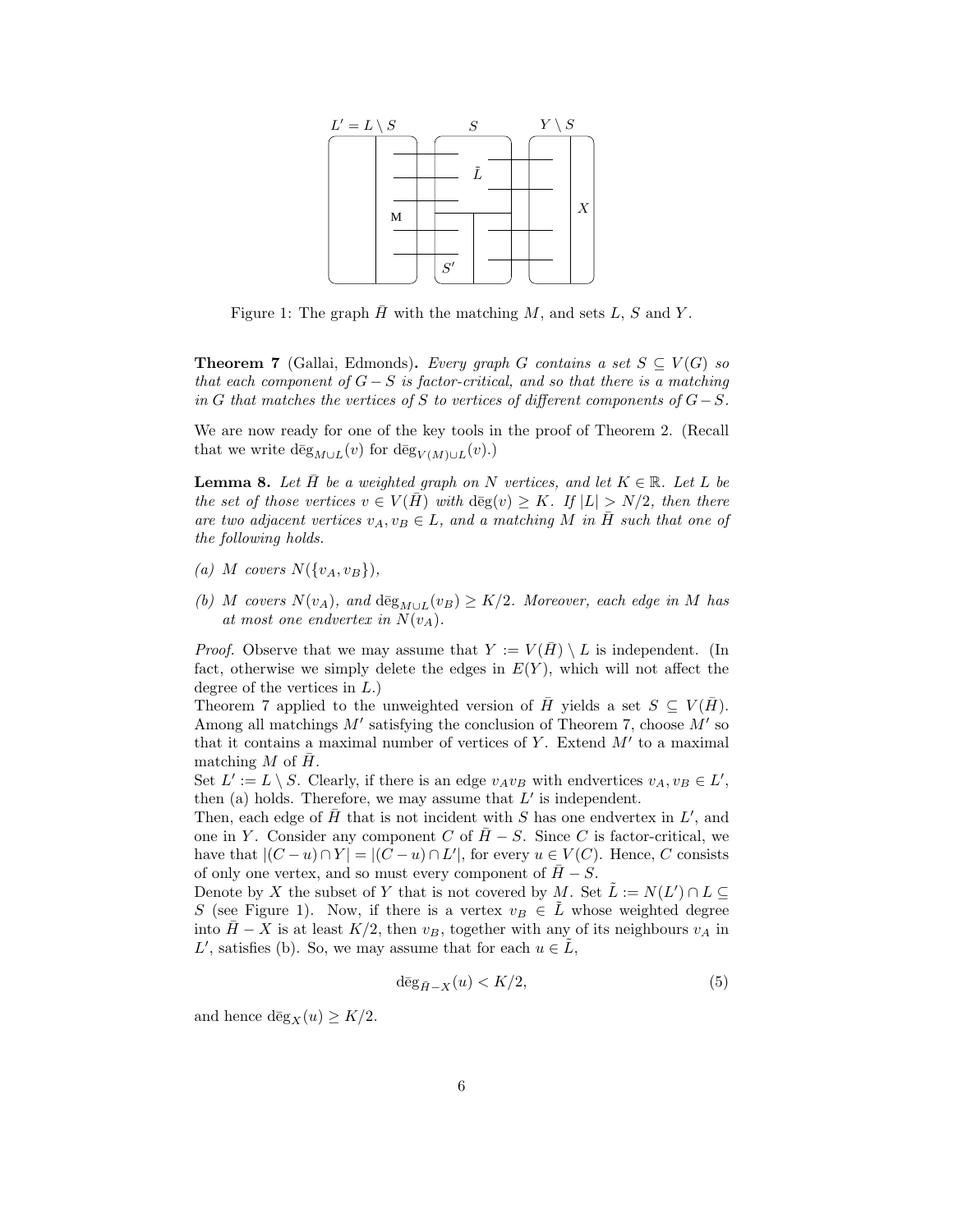

Figure 1: The graph  $H$  with the matching  $M$ , and sets  $L, S$  and Y.

**Theorem 7** (Gallai, Edmonds). Every graph G contains a set  $S \subseteq V(G)$  so that each component of  $G-S$  is factor-critical, and so that there is a matching in G that matches the vertices of S to vertices of different components of  $G-S$ .

We are now ready for one of the key tools in the proof of Theorem 2. (Recall that we write  $\deg_{M\cup L}(v)$  for  $\deg_{V(M)\cup L}(v)$ .)

**Lemma 8.** Let  $\overline{H}$  be a weighted graph on N vertices, and let  $K \in \mathbb{R}$ . Let L be the set of those vertices  $v \in V(\bar{H})$  with  $\text{deg}(v) \geq K$ . If  $|L| > N/2$ , then there are two adjacent vertices  $v_A, v_B \in L$ , and a matching M in  $\overline{H}$  such that one of the following holds.

- (a) M covers  $N({v_A,v_B})$ ,
- (b) M covers  $N(v_A)$ , and  $\text{deg}_{M\cup L}(v_B) \geq K/2$ . Moreover, each edge in M has at most one endvertex in  $N(v_A)$ .

*Proof.* Observe that we may assume that  $Y := V(\overline{H}) \setminus L$  is independent. (In fact, otherwise we simply delete the edges in  $E(Y)$ , which will not affect the degree of the vertices in L.)

Theorem 7 applied to the unweighted version of  $\bar{H}$  yields a set  $S \subseteq V(\bar{H})$ . Among all matchings  $M'$  satisfying the conclusion of Theorem 7, choose  $M'$  so that it contains a maximal number of vertices of  $Y$ . Extend  $M'$  to a maximal matching M of  $\bar{H}$ .

Set  $L' := L \setminus S$ . Clearly, if there is an edge  $v_A v_B$  with endvertices  $v_A, v_B \in L'$ , then (a) holds. Therefore, we may assume that  $L'$  is independent.

Then, each edge of  $\bar{H}$  that is not incident with S has one endvertex in  $L'$ , and one in Y. Consider any component C of  $H-S$ . Since C is factor-critical, we have that  $|(C - u) \cap Y| = |(C - u) \cap L'|$ , for every  $u \in V(C)$ . Hence, C consists of only one vertex, and so must every component of  $H-S$ .

Denote by X the subset of Y that is not covered by  $M$ . Set  $\tilde{L} := N(L') \cap L \subseteq$ S (see Figure 1). Now, if there is a vertex  $v_B \in L$  whose weighted degree into  $H - X$  is at least  $K/2$ , then  $v_B$ , together with any of its neighbours  $v_A$  in  $L'$ , satisfies (b). So, we may assume that for each  $u \in \tilde{L}$ ,

$$
\deg_{\bar{H}-X}(u) < K/2,\tag{5}
$$

and hence  $\deg_X(u) \geq K/2$ .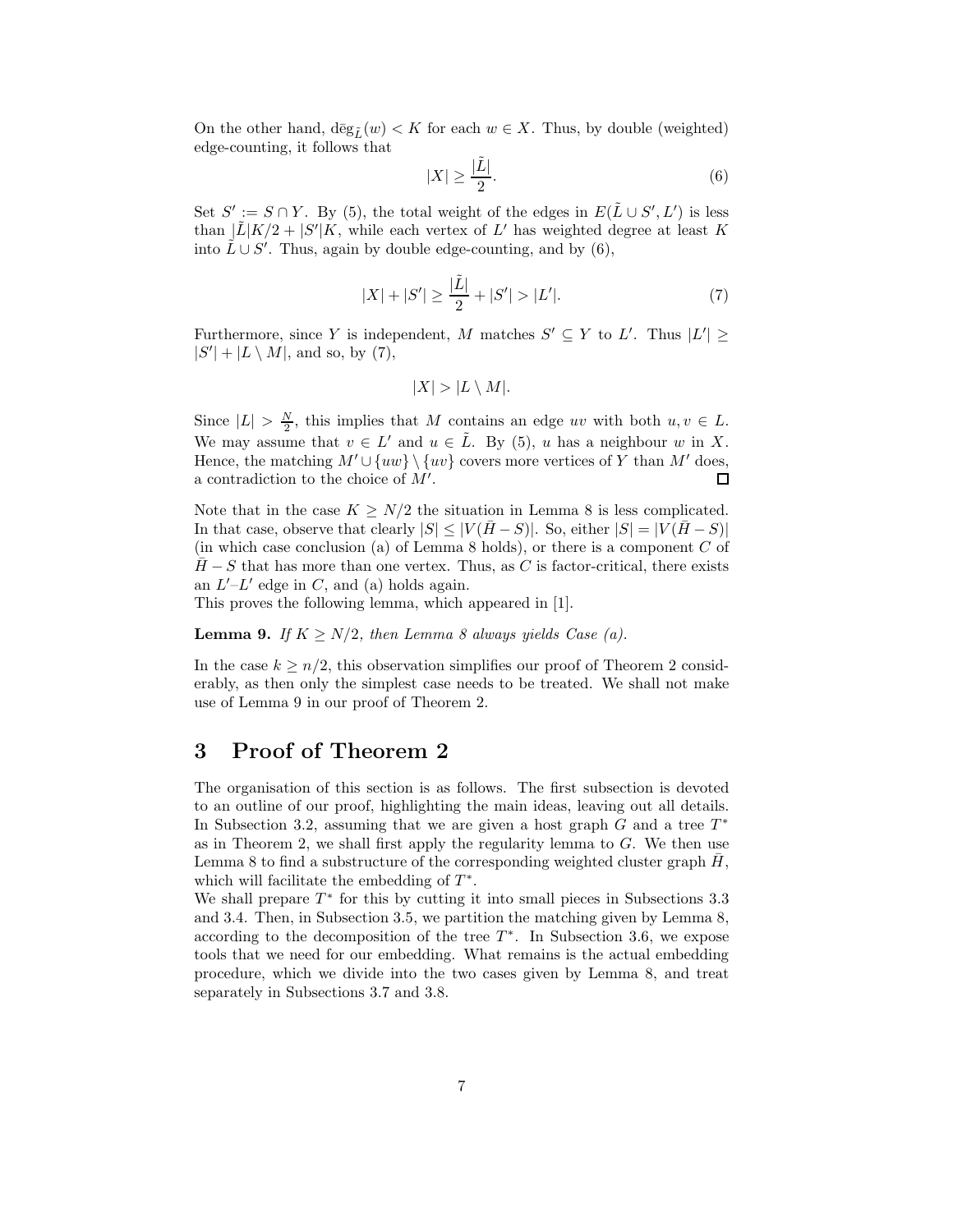On the other hand,  $\deg_{\tilde{L}}(w) < K$  for each  $w \in X$ . Thus, by double (weighted) edge-counting, it follows that

$$
|X| \ge \frac{|\tilde{L}|}{2}.\tag{6}
$$

Set  $S' := S \cap Y$ . By (5), the total weight of the edges in  $E(\tilde{L} \cup S', L')$  is less than  $\frac{1}{L}|K/2 + |S'|K$ , while each vertex of L' has weighted degree at least K into  $\tilde{L} \cup S'$ . Thus, again by double edge-counting, and by (6),

$$
|X| + |S'| \ge \frac{|\tilde{L}|}{2} + |S'| > |L'|.\tag{7}
$$

Furthermore, since Y is independent, M matches  $S' \subseteq Y$  to  $L'$ . Thus  $|L'| \ge$  $|S'|+|L\setminus M|,$  and so, by (7),

$$
|X| > |L \setminus M|.
$$

Since  $|L| > \frac{N}{2}$ , this implies that M contains an edge uv with both  $u, v \in L$ . We may assume that  $v \in L'$  and  $u \in \tilde{L}$ . By (5), u has a neighbour w in X. Hence, the matching  $M' \cup \{uw\} \setminus \{uv\}$  covers more vertices of Y than  $M'$  does, a contradiction to the choice of  $M'$ . a contradiction to the choice of  $M'$ .

Note that in the case  $K \geq N/2$  the situation in Lemma 8 is less complicated. In that case, observe that clearly  $|S| \leq |V(\bar{H}-S)|$ . So, either  $|S| = |V(\bar{H}-S)|$ (in which case conclusion (a) of Lemma 8 holds), or there is a component  $C$  of  $H - S$  that has more than one vertex. Thus, as C is factor-critical, there exists an  $L'-L'$  edge in C, and (a) holds again.

This proves the following lemma, which appeared in [1].

**Lemma 9.** If  $K \geq N/2$ , then Lemma 8 always yields Case (a).

In the case  $k \geq n/2$ , this observation simplifies our proof of Theorem 2 considerably, as then only the simplest case needs to be treated. We shall not make use of Lemma 9 in our proof of Theorem 2.

# 3 Proof of Theorem 2

The organisation of this section is as follows. The first subsection is devoted to an outline of our proof, highlighting the main ideas, leaving out all details. In Subsection 3.2, assuming that we are given a host graph  $G$  and a tree  $T^*$ as in Theorem 2, we shall first apply the regularity lemma to  $G$ . We then use Lemma 8 to find a substructure of the corresponding weighted cluster graph  $\bar{H}$ , which will facilitate the embedding of  $T^*$ .

We shall prepare  $T^*$  for this by cutting it into small pieces in Subsections 3.3 and 3.4. Then, in Subsection 3.5, we partition the matching given by Lemma 8, according to the decomposition of the tree  $T^*$ . In Subsection 3.6, we expose tools that we need for our embedding. What remains is the actual embedding procedure, which we divide into the two cases given by Lemma 8, and treat separately in Subsections 3.7 and 3.8.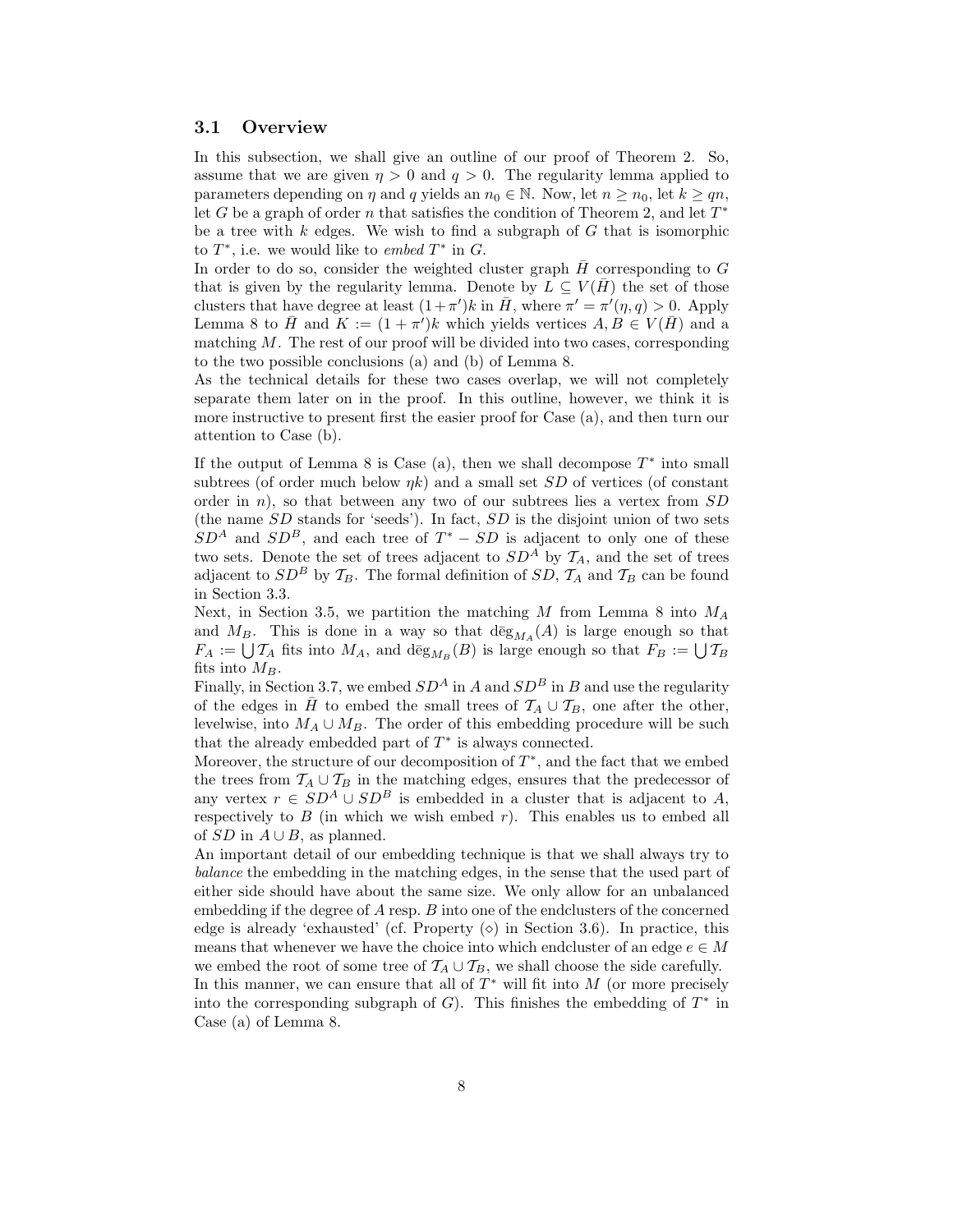#### 3.1 Overview

In this subsection, we shall give an outline of our proof of Theorem 2. So, assume that we are given  $\eta > 0$  and  $q > 0$ . The regularity lemma applied to parameters depending on  $\eta$  and  $q$  yields an  $n_0 \in \mathbb{N}$ . Now, let  $n \geq n_0$ , let  $k \geq qn$ , let G be a graph of order n that satisfies the condition of Theorem 2, and let  $T^*$ be a tree with  $k$  edges. We wish to find a subgraph of  $G$  that is isomorphic to  $T^*$ , i.e. we would like to embed  $T^*$  in  $G$ .

In order to do so, consider the weighted cluster graph  $\bar{H}$  corresponding to G that is given by the regularity lemma. Denote by  $L \subseteq V(H)$  the set of those clusters that have degree at least  $(1+\pi')k$  in  $\overline{H}$ , where  $\pi' = \pi'(\eta, q) > 0$ . Apply Lemma 8 to  $\bar{H}$  and  $K := (1 + \pi^i)k$  which yields vertices  $A, B \in V(\bar{H})$  and a matching  $M$ . The rest of our proof will be divided into two cases, corresponding to the two possible conclusions (a) and (b) of Lemma 8.

As the technical details for these two cases overlap, we will not completely separate them later on in the proof. In this outline, however, we think it is more instructive to present first the easier proof for Case (a), and then turn our attention to Case (b).

If the output of Lemma 8 is Case (a), then we shall decompose  $T^*$  into small subtrees (of order much below  $\eta k$ ) and a small set SD of vertices (of constant order in n), so that between any two of our subtrees lies a vertex from  $SD$ (the name  $SD$  stands for 'seeds'). In fact,  $SD$  is the disjoint union of two sets  $SD^{A}$  and  $SD^{B}$ , and each tree of  $T^{*} - SD$  is adjacent to only one of these two sets. Denote the set of trees adjacent to  $SD^A$  by  $\mathcal{T}_A$ , and the set of trees adjacent to  $SD^B$  by  $T_B$ . The formal definition of  $SD$ ,  $T_A$  and  $T_B$  can be found in Section 3.3.

Next, in Section 3.5, we partition the matching M from Lemma 8 into  $M_A$ and  $M_B$ . This is done in a way so that  $\deg_{M_A}(A)$  is large enough so that  $F_A := \bigcup \mathcal{T}_A$  fits into  $M_A$ , and  $\text{deg}_{M_B}(B)$  is large enough so that  $F_B := \bigcup \mathcal{T}_B$ fits into  $M_B$ .

Finally, in Section 3.7, we embed  $SD^A$  in A and  $SD^B$  in B and use the regularity of the edges in  $\bar{H}$  to embed the small trees of  $\mathcal{T}_A \cup \mathcal{T}_B$ , one after the other, levelwise, into  $M_A \cup M_B$ . The order of this embedding procedure will be such that the already embedded part of  $T^*$  is always connected.

Moreover, the structure of our decomposition of  $T^*$ , and the fact that we embed the trees from  $\mathcal{T}_A \cup \mathcal{T}_B$  in the matching edges, ensures that the predecessor of any vertex  $r \in \overline{SD^A} \cup SD^B$  is embedded in a cluster that is adjacent to A, respectively to  $B$  (in which we wish embed r). This enables us to embed all of  $SD$  in  $A \cup B$ , as planned.

An important detail of our embedding technique is that we shall always try to balance the embedding in the matching edges, in the sense that the used part of either side should have about the same size. We only allow for an unbalanced embedding if the degree of A resp. B into one of the endclusters of the concerned edge is already 'exhausted' (cf. Property  $(\diamond)$  in Section 3.6). In practice, this means that whenever we have the choice into which endcluster of an edge  $e \in M$ we embed the root of some tree of  $\mathcal{T}_A \cup \mathcal{T}_B$ , we shall choose the side carefully.

In this manner, we can ensure that all of  $T^*$  will fit into  $M$  (or more precisely into the corresponding subgraph of  $G$ ). This finishes the embedding of  $T^*$  in Case (a) of Lemma 8.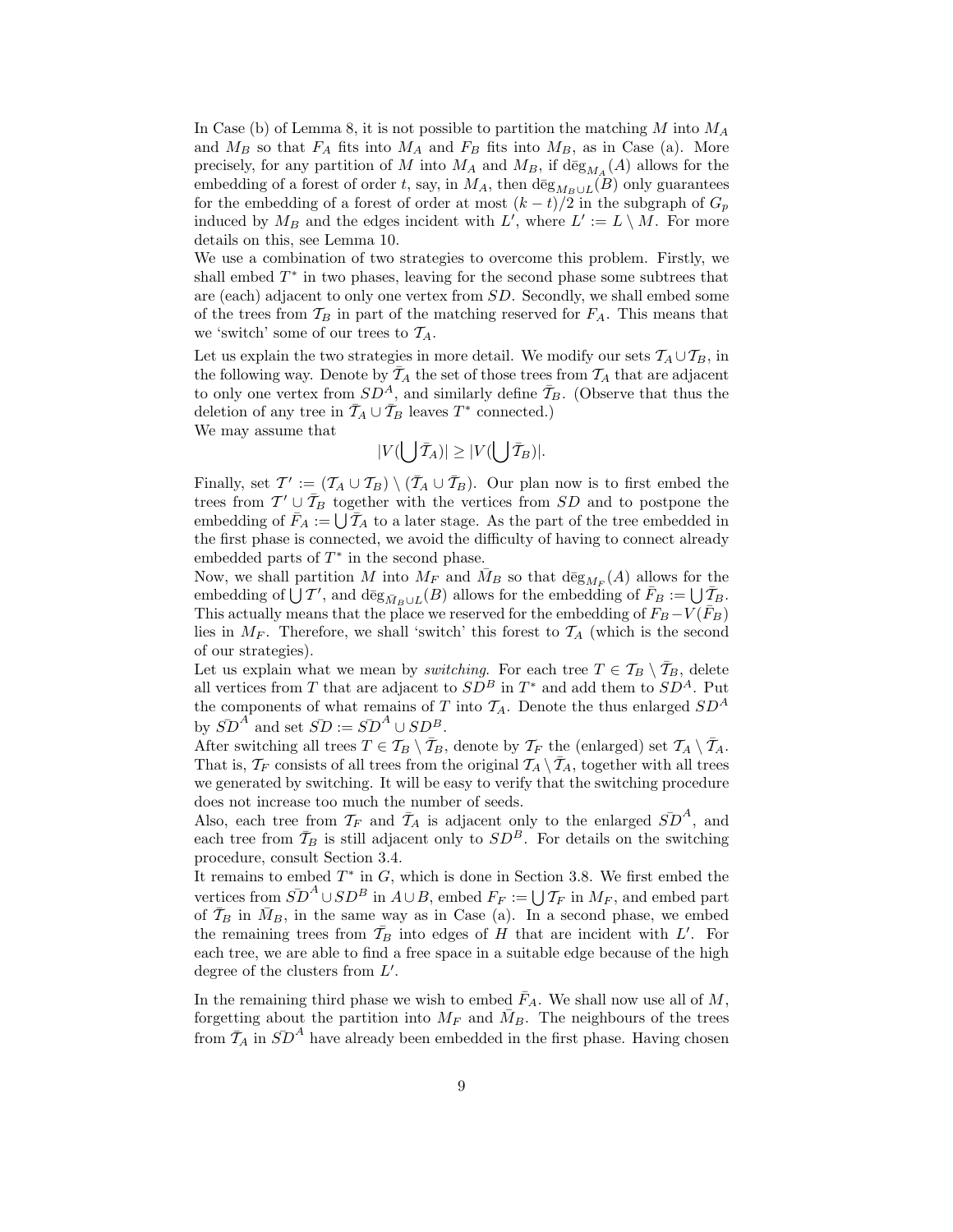In Case (b) of Lemma 8, it is not possible to partition the matching  $M$  into  $M_A$ and  $M_B$  so that  $F_A$  fits into  $M_A$  and  $F_B$  fits into  $M_B$ , as in Case (a). More precisely, for any partition of M into  $M_A$  and  $M_B$ , if  $\text{deg}_{M_A}(A)$  allows for the embedding of a forest of order t, say, in  $M_A$ , then  $\text{deg}_{M_B\cup L}(B)$  only guarantees for the embedding of a forest of order at most  $(k-t)/2$  in the subgraph of  $G_p$ induced by  $M_B$  and the edges incident with  $L'$ , where  $L' := L \setminus M$ . For more details on this, see Lemma 10.

We use a combination of two strategies to overcome this problem. Firstly, we shall embed  $T^*$  in two phases, leaving for the second phase some subtrees that are (each) adjacent to only one vertex from SD. Secondly, we shall embed some of the trees from  $T_B$  in part of the matching reserved for  $F_A$ . This means that we 'switch' some of our trees to  $\mathcal{T}_A$ .

Let us explain the two strategies in more detail. We modify our sets  $\mathcal{T}_A \cup \mathcal{T}_B$ , in the following way. Denote by  $\bar{T}_A$  the set of those trees from  $\mathcal{T}_A$  that are adjacent to only one vertex from  $SD^A$ , and similarly define  $\overline{T}_B$ . (Observe that thus the deletion of any tree in  $\bar{T}_A \cup \bar{T}_B$  leaves  $T^*$  connected.) We may assume that

$$
|V(\bigcup \bar{\mathcal{T}}_A)| \geq |V(\bigcup \bar{\mathcal{T}}_B)|.
$$

Finally, set  $\mathcal{T}' := (\mathcal{T}_A \cup \mathcal{T}_B) \setminus (\bar{\mathcal{T}}_A \cup \bar{\mathcal{T}}_B)$ . Our plan now is to first embed the trees from  $T' \cup \overline{T}_B$  together with the vertices from SD and to postpone the embedding of  $\bar{F}_A := \bigcup \bar{T}_A$  to a later stage. As the part of the tree embedded in the first phase is connected, we avoid the difficulty of having to connect already embedded parts of  $T^*$  in the second phase.

Now, we shall partition M into  $M_F$  and  $\overline{M}_B$  so that  $\overline{\deg}_{M_F}(A)$  allows for the embedding of  $\bigcup \mathcal{T}'$ , and  $\text{deg}_{\bar{M}_B\cup L}(B)$  allows for the embedding of  $\bar{F}_B := \bigcup \bar{T}_B$ . This actually means that the place we reserved for the embedding of  $F_B - V(\bar{F}_B)$ lies in  $M_F$ . Therefore, we shall 'switch' this forest to  $\mathcal{T}_A$  (which is the second of our strategies).

Let us explain what we mean by *switching*. For each tree  $T \in \mathcal{T}_B \setminus \overline{\mathcal{T}}_B$ , delete all vertices from T that are adjacent to  $SD^B$  in  $T^*$  and add them to  $SD^A$ . Put the components of what remains of T into  $\mathcal{T}_A$ . Denote the thus enlarged  $SD^A$ by  $\bar{SD}^A$  and set  $\bar{SD} := \bar{SD}^A \cup SD^B$ .

After switching all trees  $T \in \mathcal{T}_B \setminus \overline{\mathcal{T}}_B$ , denote by  $\mathcal{T}_F$  the (enlarged) set  $\mathcal{T}_A \setminus \overline{\mathcal{T}}_A$ . That is,  $\mathcal{T}_F$  consists of all trees from the original  $\mathcal{T}_A \setminus \overline{\mathcal{T}}_A$ , together with all trees we generated by switching. It will be easy to verify that the switching procedure does not increase too much the number of seeds.

Also, each tree from  $\mathcal{T}_F$  and  $\bar{\mathcal{T}}_A$  is adjacent only to the enlarged  $\bar{SD}^A$ , and each tree from  $\bar{T}_B$  is still adjacent only to  $SD^B$ . For details on the switching procedure, consult Section 3.4.

It remains to embed  $T^*$  in  $G$ , which is done in Section 3.8. We first embed the vertices from  $\bar{SD}^A \cup SD^B$  in  $A \cup B$ , embed  $F_F := \bigcup \mathcal{T}_F$  in  $M_F$ , and embed part of  $\overline{T}_B$  in  $\overline{M}_B$ , in the same way as in Case (a). In a second phase, we embed the remaining trees from  $\bar{T}_B$  into edges of H that are incident with L'. For each tree, we are able to find a free space in a suitable edge because of the high degree of the clusters from  $L'$ .

In the remaining third phase we wish to embed  $\bar{F}_A$ . We shall now use all of M, forgetting about the partition into  $M_F$  and  $\overline{M}_B$ . The neighbours of the trees from  $\bar{T}_A$  in  $\bar{SD}^A$  have already been embedded in the first phase. Having chosen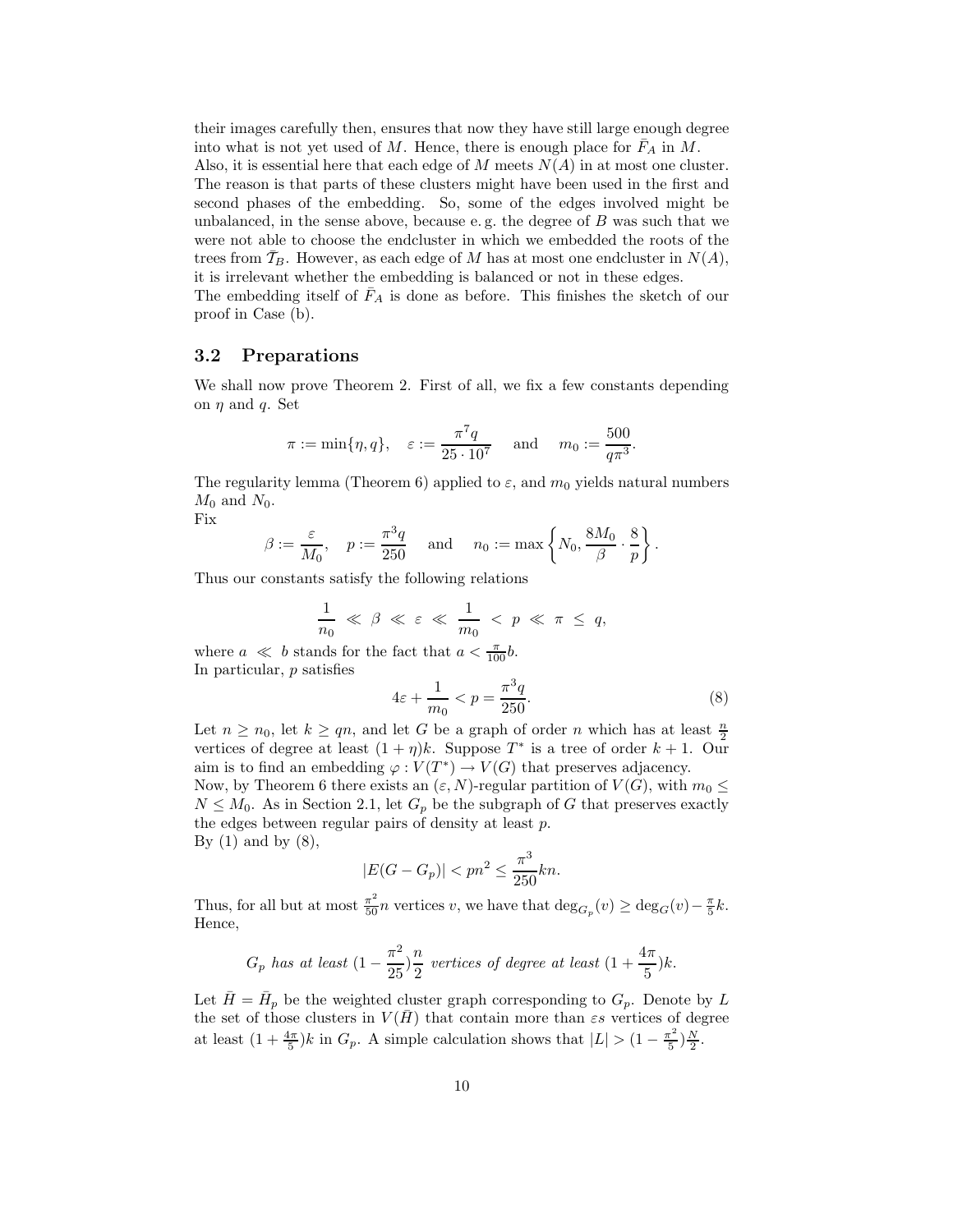their images carefully then, ensures that now they have still large enough degree into what is not yet used of M. Hence, there is enough place for  $F_A$  in M.

Also, it is essential here that each edge of M meets  $N(A)$  in at most one cluster. The reason is that parts of these clusters might have been used in the first and second phases of the embedding. So, some of the edges involved might be unbalanced, in the sense above, because e.g. the degree of  $B$  was such that we were not able to choose the endcluster in which we embedded the roots of the trees from  $\overline{T}_B$ . However, as each edge of M has at most one endcluster in  $N(A)$ , it is irrelevant whether the embedding is balanced or not in these edges.

The embedding itself of  $\overline{F}_A$  is done as before. This finishes the sketch of our proof in Case (b).

## 3.2 Preparations

We shall now prove Theorem 2. First of all, we fix a few constants depending on  $\eta$  and  $q$ . Set

$$
\pi := \min\{\eta, q\}, \quad \varepsilon := \frac{\pi^7 q}{25 \cdot 10^7} \quad \text{and} \quad m_0 := \frac{500}{q\pi^3}.
$$

The regularity lemma (Theorem 6) applied to  $\varepsilon$ , and  $m_0$  yields natural numbers  $M_0$  and  $N_0$ .

Fix

$$
\beta := \frac{\varepsilon}{M_0}, \quad p := \frac{\pi^3 q}{250} \quad \text{ and } \quad n_0 := \max\left\{N_0, \frac{8M_0}{\beta} \cdot \frac{8}{p}\right\}.
$$

Thus our constants satisfy the following relations

$$
\frac{1}{n_0} \ll \beta \ll \varepsilon \ll \frac{1}{m_0} < p \ll \pi \leq q,
$$

where  $a \ll b$  stands for the fact that  $a < \frac{\pi}{100}b$ . In particular, p satisfies

$$
4\varepsilon + \frac{1}{m_0} < p = \frac{\pi^3 q}{250}.\tag{8}
$$

Let  $n \geq n_0$ , let  $k \geq qn$ , and let G be a graph of order n which has at least  $\frac{n}{2}$ vertices of degree at least  $(1 + \eta)k$ . Suppose  $T^*$  is a tree of order  $k + 1$ . Our aim is to find an embedding  $\varphi: V(T^*) \to V(G)$  that preserves adjacency. Now, by Theorem 6 there exists an  $(\varepsilon, N)$ -regular partition of  $V(G)$ , with  $m_0 \leq$ 

 $N \leq M_0$ . As in Section 2.1, let  $G_p$  be the subgraph of G that preserves exactly the edges between regular pairs of density at least p.

By  $(1)$  and by  $(8)$ ,

$$
|E(G - G_p)| < pn^2 \le \frac{\pi^3}{250} kn.
$$

Thus, for all but at most  $\frac{\pi^2}{50}n$  vertices v, we have that  $\deg_{G_p}(v) \geq \deg_G(v) - \frac{\pi}{5}k$ . Hence,

$$
G_p
$$
 has at least  $(1 - \frac{\pi^2}{25})\frac{n}{2}$  vertices of degree at least  $(1 + \frac{4\pi}{5})k$ .

Let  $\bar{H} = \bar{H}_p$  be the weighted cluster graph corresponding to  $G_p$ . Denote by L the set of those clusters in  $V(\bar{H})$  that contain more than  $\epsilon s$  vertices of degree at least  $(1 + \frac{4\pi}{5})k$  in  $G_p$ . A simple calculation shows that  $|L| > (1 - \frac{\pi^2}{5})$  $(\frac{1}{5})\frac{N}{2}.$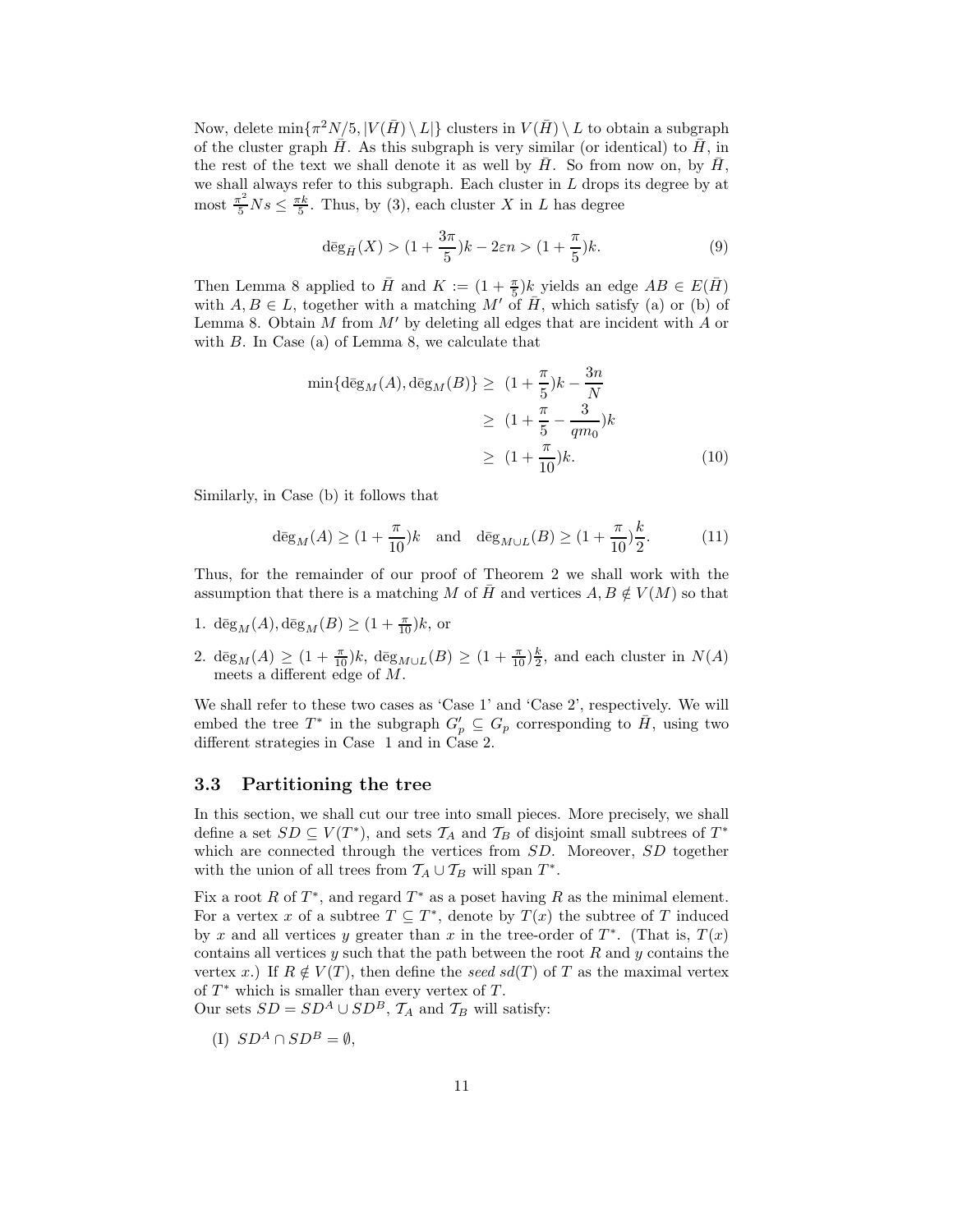Now, delete  $\min\{\pi^2 N/5, |V(\bar{H}) \setminus L|\}$  clusters in  $V(\bar{H}) \setminus L$  to obtain a subgraph of the cluster graph  $\bar{H}$ . As this subgraph is very similar (or identical) to  $\bar{H}$ , in the rest of the text we shall denote it as well by  $\bar{H}$ . So from now on, by  $\bar{H}$ , we shall always refer to this subgraph. Each cluster in  $L$  drops its degree by at most  $\frac{\pi^2}{5}Ns \leq \frac{\pi k}{5}$ . Thus, by (3), each cluster X in L has degree

$$
\deg_{\bar{H}}(X) > (1 + \frac{3\pi}{5})k - 2\varepsilon n > (1 + \frac{\pi}{5})k.
$$
 (9)

Then Lemma 8 applied to  $\overline{H}$  and  $K := (1 + \frac{\pi}{5})k$  yields an edge  $AB \in E(\overline{H})$ with  $A, B \in L$ , together with a matching M' of  $\overline{H}$ , which satisfy (a) or (b) of Lemma 8. Obtain  $M$  from  $M'$  by deleting all edges that are incident with  $A$  or with  $B$ . In Case (a) of Lemma 8, we calculate that

$$
\min\{\deg_M(A), \deg_M(B)\} \ge (1 + \frac{\pi}{5})k - \frac{3n}{N} \n\ge (1 + \frac{\pi}{5} - \frac{3}{qm_0})k \n\ge (1 + \frac{\pi}{10})k.
$$
\n(10)

Similarly, in Case (b) it follows that

$$
d\bar{e}g_M(A) \ge (1 + \frac{\pi}{10})k \text{ and } d\bar{e}g_{M \cup L}(B) \ge (1 + \frac{\pi}{10})\frac{k}{2}.
$$
 (11)

Thus, for the remainder of our proof of Theorem 2 we shall work with the assumption that there is a matching M of  $\overline{H}$  and vertices  $A, B \notin V(M)$  so that

- 1.  $\deg_M(A), \deg_M(B) \ge (1 + \frac{\pi}{10})k$ , or
- 2.  $\deg_M(A) \geq (1 + \frac{\pi}{10})k$ ,  $\deg_{M \cup L}(B) \geq (1 + \frac{\pi}{10})\frac{k}{2}$ , and each cluster in  $N(A)$ meets a different edge of  $M.$

We shall refer to these two cases as 'Case 1' and 'Case 2', respectively. We will embed the tree  $T^*$  in the subgraph  $G'_p \subseteq G_p$  corresponding to  $\overline{H}$ , using two different strategies in Case 1 and in Case 2.

#### 3.3 Partitioning the tree

In this section, we shall cut our tree into small pieces. More precisely, we shall define a set  $SD \subseteq V(T^*)$ , and sets  $\mathcal{T}_A$  and  $\mathcal{T}_B$  of disjoint small subtrees of  $T^*$ which are connected through the vertices from  $SD$ . Moreover,  $SD$  together with the union of all trees from  $\mathcal{T}_A \cup \mathcal{T}_B$  will span  $T^*$ .

Fix a root R of  $T^*$ , and regard  $T^*$  as a poset having R as the minimal element. For a vertex x of a subtree  $T \subseteq T^*$ , denote by  $T(x)$  the subtree of T induced by x and all vertices y greater than x in the tree-order of  $T^*$ . (That is,  $T(x)$ ) contains all vertices y such that the path between the root  $R$  and  $y$  contains the vertex x.) If  $R \notin V(T)$ , then define the seed sd(T) of T as the maximal vertex of  $T^*$  which is smaller than every vertex of  $T$ .

Our sets  $SD = SD^A \cup SD^B$ ,  $\mathcal{T}_A$  and  $\mathcal{T}_B$  will satisfy:

(I)  $SD^A \cap SD^B = \emptyset$ ,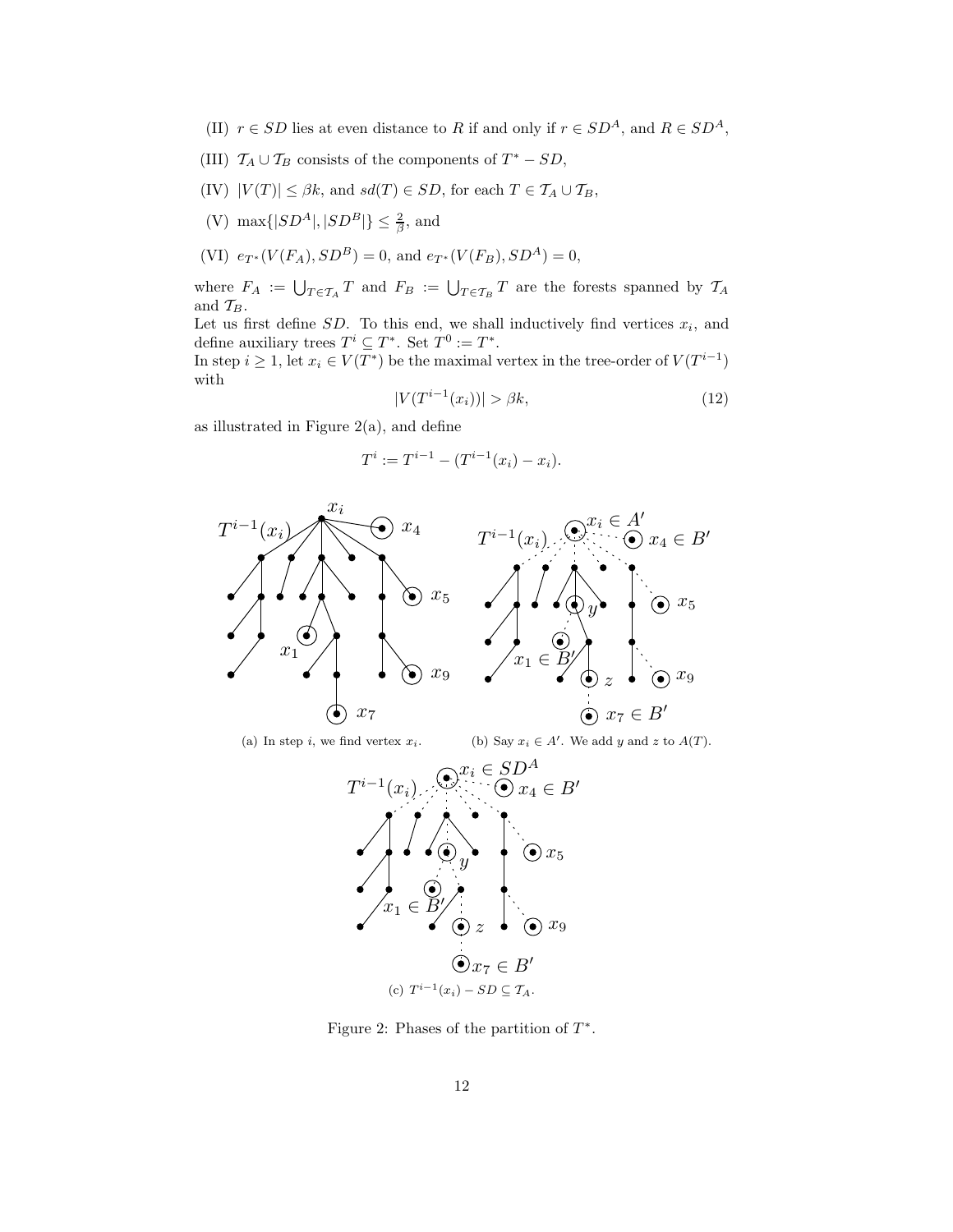- (II)  $r \in SD$  lies at even distance to R if and only if  $r \in SD^A$ , and  $R \in SD^A$ ,
- (III)  $T_A \cup T_B$  consists of the components of  $T^* SD$ ,
- (IV)  $|V(T)| \leq \beta k$ , and  $sd(T) \in SD$ , for each  $T \in \mathcal{T}_A \cup \mathcal{T}_B$ ,
- (V) max $\{|SD^A|, |SD^B|\} \leq \frac{2}{\beta}$ , and
- (VI)  $e_{T^*}(V(F_A), SD^B) = 0$ , and  $e_{T^*}(V(F_B), SD^A) = 0$ ,

where  $F_A := \bigcup_{T \in \mathcal{T}_A} T$  and  $F_B := \bigcup_{T \in \mathcal{T}_B} T$  are the forests spanned by  $\mathcal{T}_A$ and  $\mathcal{T}_B$ .

Let us first define  $SD$ . To this end, we shall inductively find vertices  $x_i$ , and define auxiliary trees  $T^i \subseteq T^*$ . Set  $T^0 := T^*$ .

In step  $i \geq 1$ , let  $x_i \in V(T^*)$  be the maximal vertex in the tree-order of  $V(T^{i-1})$ with

$$
|V(T^{i-1}(x_i))| > \beta k,\tag{12}
$$

as illustrated in Figure  $2(a)$ , and define

$$
T^i := T^{i-1} - (T^{i-1}(x_i) - x_i).
$$







Figure 2: Phases of the partition of  $T^*$ .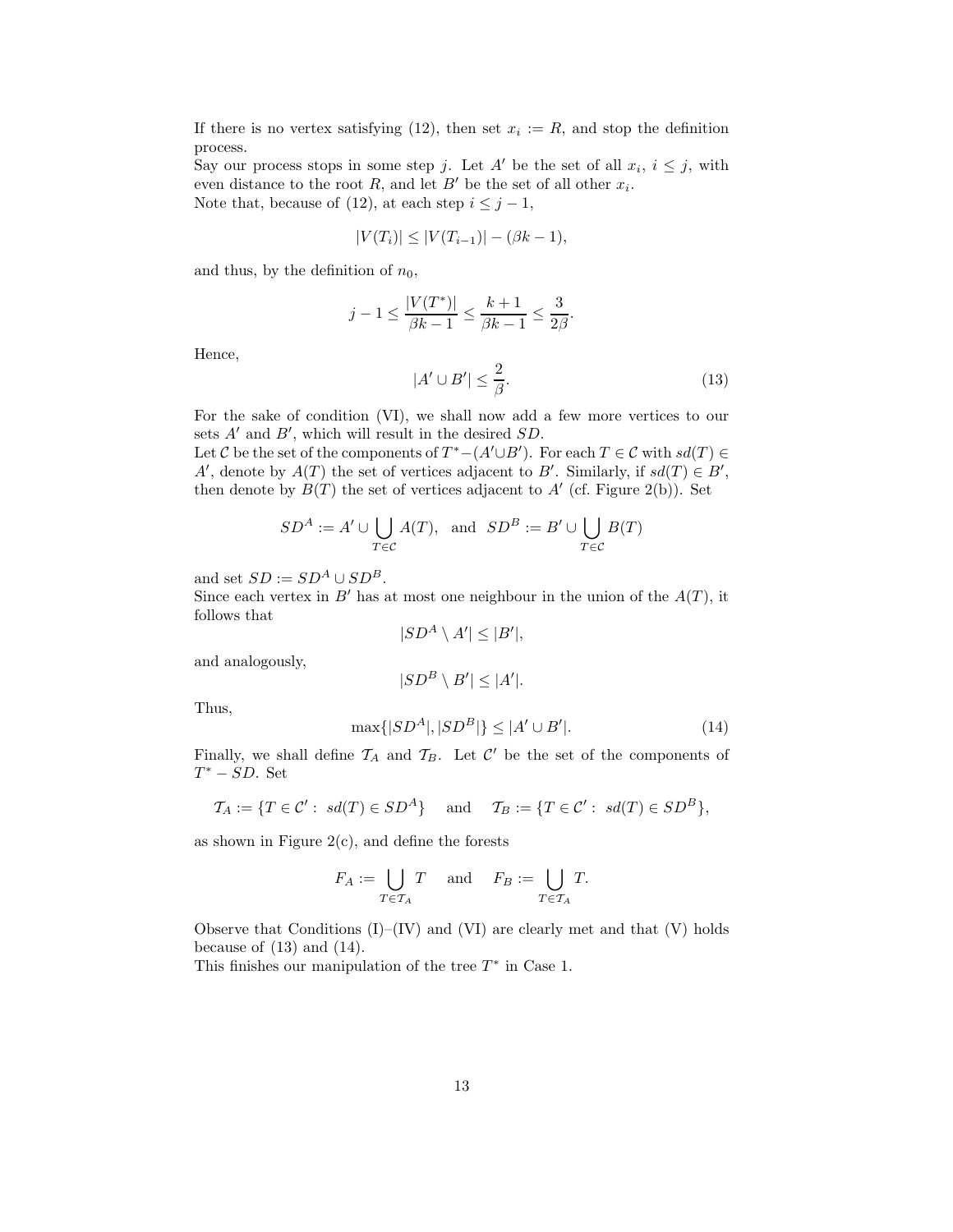If there is no vertex satisfying (12), then set  $x_i := R$ , and stop the definition process.

Say our process stops in some step j. Let A' be the set of all  $x_i$ ,  $i \leq j$ , with even distance to the root  $R$ , and let  $B'$  be the set of all other  $x_i$ . Note that, because of (12), at each step  $i \leq j - 1$ ,

$$
|V(T_i)| \le |V(T_{i-1})| - (\beta k - 1),
$$

and thus, by the definition of  $n_0$ ,

$$
j - 1 \le \frac{|V(T^*)|}{\beta k - 1} \le \frac{k + 1}{\beta k - 1} \le \frac{3}{2\beta}.
$$
  

$$
|A' \cup B'| \le \frac{2}{\beta}.
$$
 (13)

Hence,

$$
|A' \cup B'| \le \frac{2}{\beta}.\tag{13}
$$

For the sake of condition (VI), we shall now add a few more vertices to our sets  $A'$  and  $B'$ , which will result in the desired  $SD$ .

Let C be the set of the components of  $T^*-(A' \cup B')$ . For each  $T \in \mathcal{C}$  with  $sd(T) \in$ A', denote by  $A(T)$  the set of vertices adjacent to B'. Similarly, if  $sd(T) \in B'$ , then denote by  $B(T)$  the set of vertices adjacent to  $A'$  (cf. Figure 2(b)). Set

$$
SD^A := A' \cup \bigcup_{T \in \mathcal{C}} A(T)
$$
, and  $SD^B := B' \cup \bigcup_{T \in \mathcal{C}} B(T)$ 

and set  $SD := SD^A \cup SD^B$ .

Since each vertex in  $B'$  has at most one neighbour in the union of the  $A(T)$ , it follows that

$$
|SD^A \setminus A'| \le |B'|,
$$

and analogously,

$$
|SD^B \setminus B'| \le |A'|.
$$

Thus,

$$
\max\{|SD^A|, |SD^B|\} \le |A' \cup B'|.\tag{14}
$$

Finally, we shall define  $\mathcal{T}_A$  and  $\mathcal{T}_B$ . Let  $\mathcal{C}'$  be the set of the components of  $T^*$  – SD. Set

$$
\mathcal{T}_A := \{ T \in \mathcal{C}' : \ sd(T) \in SD^A \} \quad \text{and} \quad \mathcal{T}_B := \{ T \in \mathcal{C}' : \ sd(T) \in SD^B \},
$$

as shown in Figure  $2(c)$ , and define the forests

$$
F_A := \bigcup_{T \in \mathcal{T}_A} T \quad \text{ and } \quad F_B := \bigcup_{T \in \mathcal{T}_A} T.
$$

Observe that Conditions  $(I)$ – $(IV)$  and  $(VI)$  are clearly met and that  $(V)$  holds because of  $(13)$  and  $(14)$ .

This finishes our manipulation of the tree  $T^*$  in Case 1.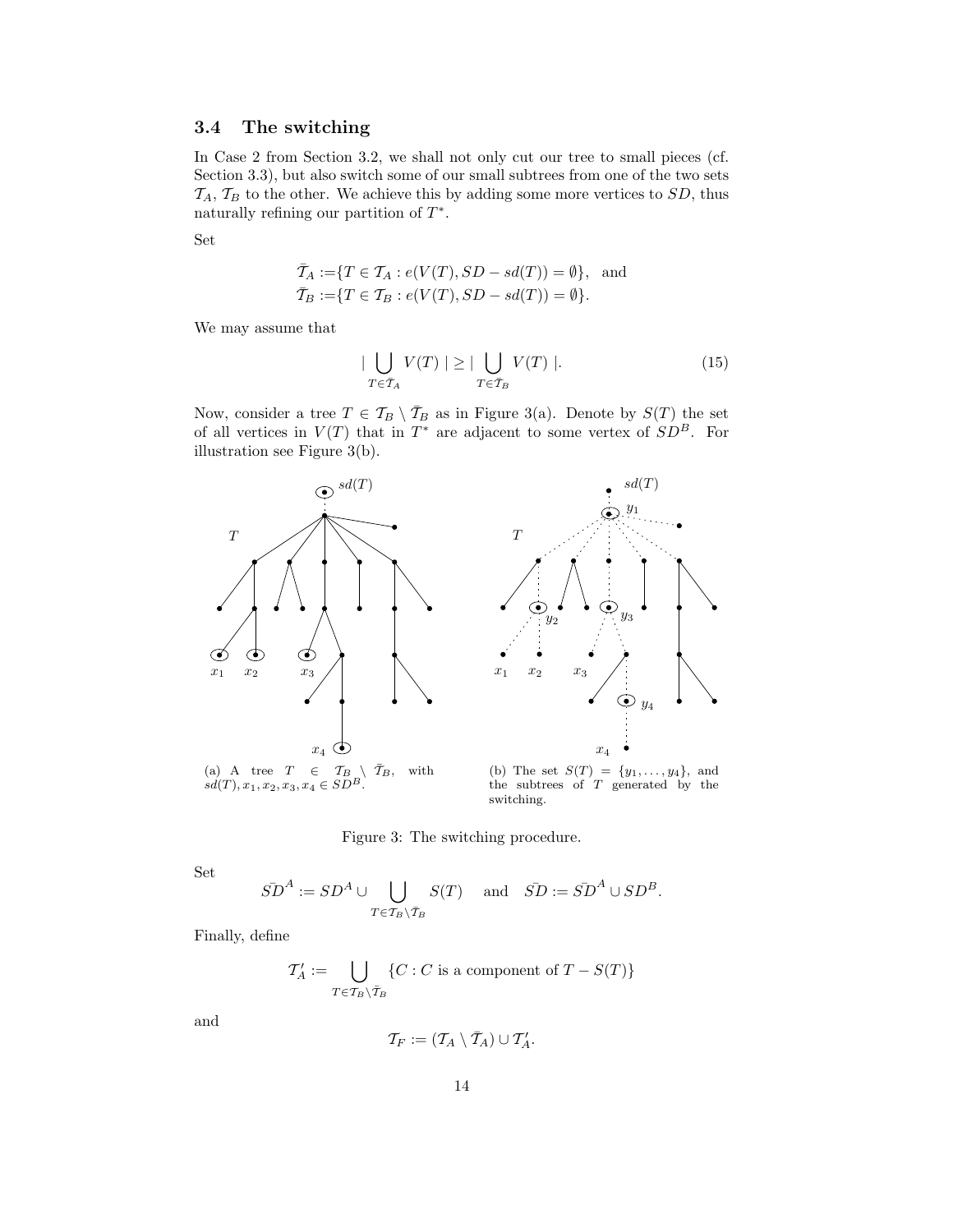## 3.4 The switching

In Case 2 from Section 3.2, we shall not only cut our tree to small pieces (cf. Section 3.3), but also switch some of our small subtrees from one of the two sets  $\mathcal{T}_A$ ,  $\mathcal{T}_B$  to the other. We achieve this by adding some more vertices to  $SD$ , thus naturally refining our partition of  $T^*$ .

Set

$$
\overline{T}_A := \{ T \in \mathcal{T}_A : e(V(T), SD - sd(T)) = \emptyset \}, \text{ and}
$$
  

$$
\overline{T}_B := \{ T \in \mathcal{T}_B : e(V(T), SD - sd(T)) = \emptyset \}.
$$

We may assume that

$$
|\bigcup_{T \in \bar{\mathcal{T}}_A} V(T)| \ge |\bigcup_{T \in \bar{\mathcal{T}}_B} V(T)|. \tag{15}
$$

Now, consider a tree  $T \in \mathcal{T}_B \setminus \overline{\mathcal{T}}_B$  as in Figure 3(a). Denote by  $S(T)$  the set of all vertices in  $V(T)$  that in  $T^*$  are adjacent to some vertex of  $SD^B$ . For illustration see Figure 3(b).



Figure 3: The switching procedure.

Set

$$
\bar{SD}^A := SD^A \cup \bigcup_{T \in \mathcal{T}_B \backslash \tilde{T}_B} S(T) \text{ and } \bar{SD} := \bar{SD}^A \cup SD^B.
$$

Finally, define

$$
\mathcal{T}'_A := \bigcup_{T \in \mathcal{T}_B \backslash \bar{\mathcal{T}}_B} \{C : C \text{ is a component of } T - S(T) \}
$$

and

$$
\mathcal{T}_F:=(\mathcal{T}_A\setminus\bar{\mathcal{T}}_A)\cup\mathcal{T}_A'.
$$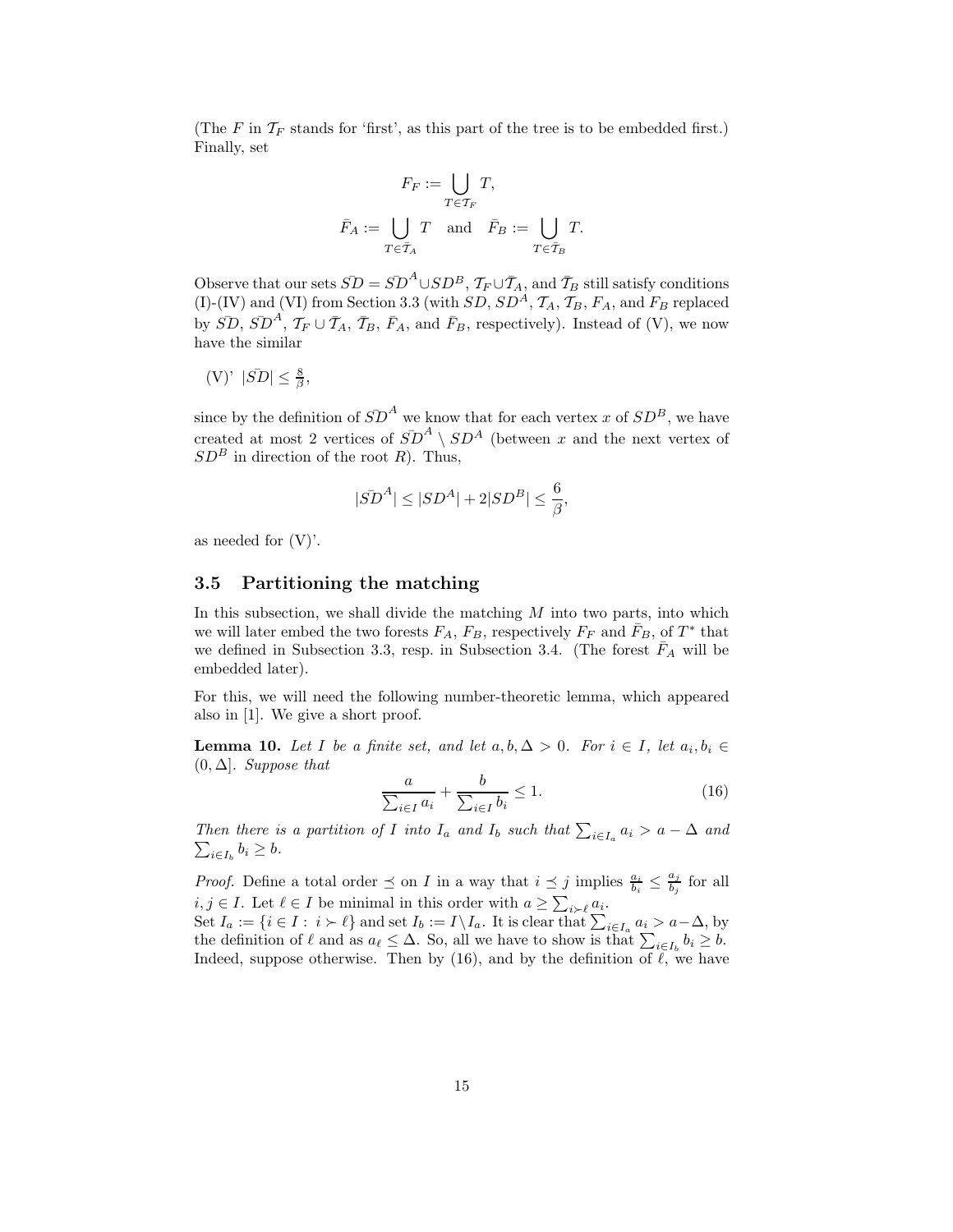(The F in  $\mathcal{T}_F$  stands for 'first', as this part of the tree is to be embedded first.) Finally, set

$$
F_F := \bigcup_{T \in \mathcal{T}_F} T,
$$
  

$$
\bar{F}_A := \bigcup_{T \in \bar{\mathcal{T}}_A} T \text{ and } \bar{F}_B := \bigcup_{T \in \bar{\mathcal{T}}_B} T.
$$

Observe that our sets  $\overline{SD} = \overline{SD}^A \cup SD^B$ ,  $\mathcal{T}_F \cup \overline{\mathcal{T}}_A$ , and  $\overline{\mathcal{T}}_B$  still satisfy conditions (I)-(IV) and (VI) from Section 3.3 (with  $SD$ ,  $SD<sup>A</sup>$ ,  $\mathcal{T}_A$ ,  $\mathcal{T}_B$ ,  $F_A$ , and  $F_B$  replaced by  $\bar{SD}$ ,  $\bar{SD}$ <sup>A</sup>,  $\mathcal{T}_F \cup \bar{\mathcal{T}}_A$ ,  $\bar{\mathcal{T}}_B$ ,  $\bar{F}_A$ , and  $\bar{F}_B$ , respectively). Instead of (V), we now have the similar

(V)'  $|\overline{SD}| \leq \frac{8}{\beta}$ ,

since by the definition of  $\bar{SD}^{A}$  we know that for each vertex x of  $SD^{B}$ , we have created at most 2 vertices of  $\overline{SD}^A \setminus SD^A$  (between x and the next vertex of  $SD^B$  in direction of the root R). Thus,

$$
|\bar{SD}^A|\leq |SD^A|+2|SD^B|\leq \frac{6}{\beta},
$$

as needed for (V)'.

## 3.5 Partitioning the matching

In this subsection, we shall divide the matching  $M$  into two parts, into which we will later embed the two forests  $F_A$ ,  $F_B$ , respectively  $F_F$  and  $\bar{F}_B$ , of  $T^*$  that we defined in Subsection 3.3, resp. in Subsection 3.4. (The forest  $\bar{F}_A$  will be embedded later).

For this, we will need the following number-theoretic lemma, which appeared also in [1]. We give a short proof.

**Lemma 10.** Let I be a finite set, and let  $a, b, \Delta > 0$ . For  $i \in I$ , let  $a_i, b_i \in$  $(0, \Delta]$ . Suppose that

$$
\frac{a}{\sum_{i\in I} a_i} + \frac{b}{\sum_{i\in I} b_i} \le 1.
$$
\n(16)

Then there is a partition of I into  $I_a$  and  $I_b$  such that  $\sum_{i \in I_a} a_i > a - \Delta$  and  $\sum_{i \in I_b} b_i \geq b$ .  $_{i\in I_b} b_i \geq b.$ 

*Proof.* Define a total order  $\leq$  on I in a way that  $i \leq j$  implies  $\frac{a_i}{b_i} \leq \frac{a_j}{b_j}$  $\frac{a_j}{b_j}$  for all *i*, *j* ∈ *I*. Let  $\ell \in I$  be minimal in this order with  $a \geq \sum_{i \succ \ell} a_i$ .

Set  $I_a := \{i \in I : i \succ \ell\}$  and set  $I_b := I \setminus I_a$ . It is clear that  $\sum_{i \in I_a} a_i > a - \Delta$ , by the definition of  $\ell$  and as  $a_{\ell} \leq \Delta$ . So, all we have to show is that  $\sum_{i \in I_b} b_i \geq b$ . Indeed, suppose otherwise. Then by (16), and by the definition of  $\ell$ , we have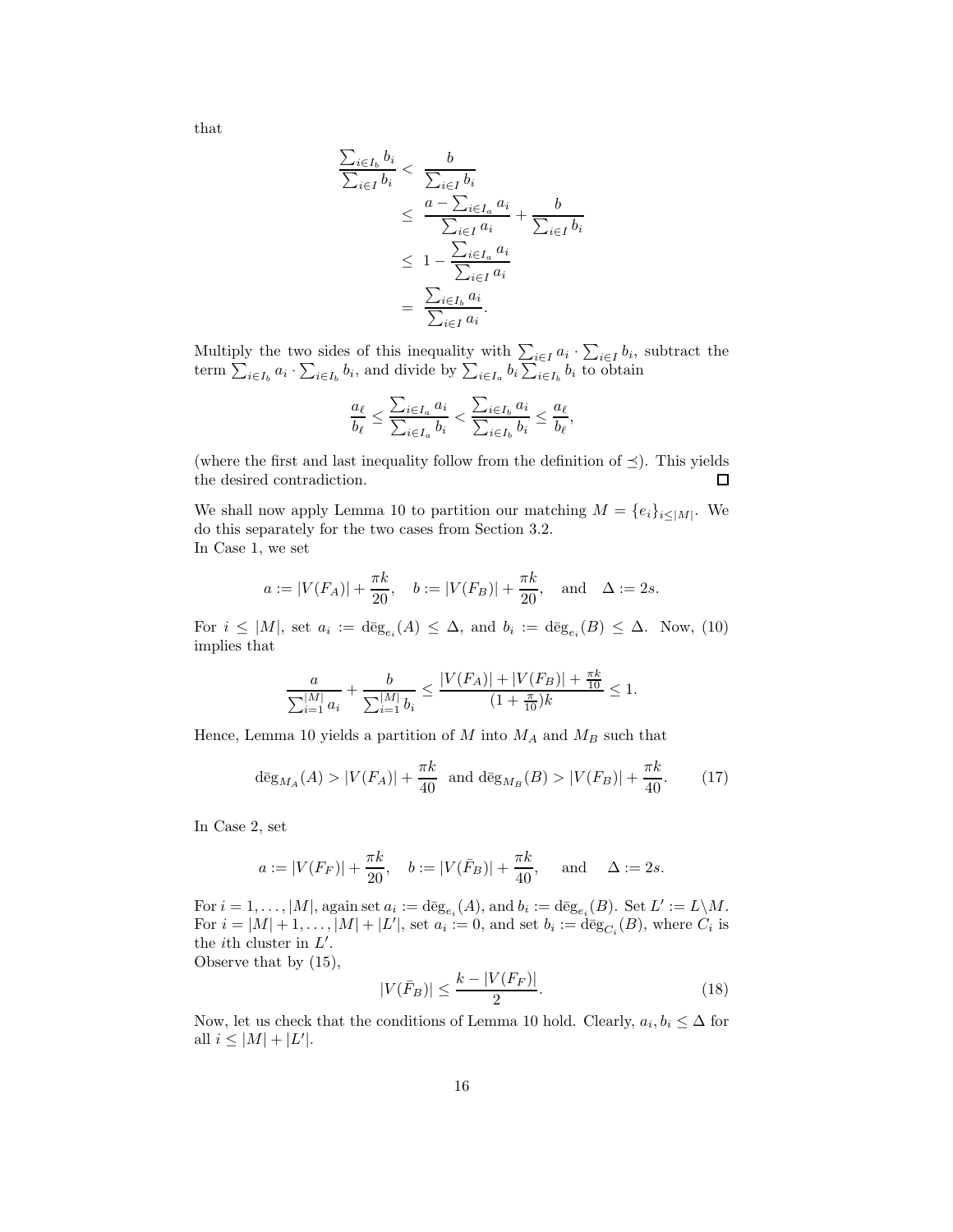that

$$
\frac{\sum_{i \in I_b} b_i}{\sum_{i \in I} b_i} < \frac{b}{\sum_{i \in I} b_i} \\
\leq \frac{a - \sum_{i \in I_a} a_i}{\sum_{i \in I} a_i} + \frac{b}{\sum_{i \in I} b_i} \\
\leq 1 - \frac{\sum_{i \in I_a} a_i}{\sum_{i \in I} a_i} \\
= \frac{\sum_{i \in I_b} a_i}{\sum_{i \in I} a_i}.
$$

Multiply the two sides of this inequality with  $\sum_{i\in I} a_i \cdot \sum_{i\in I} b_i$ , subtract the term  $\sum_{i\in I_b} a_i \cdot \sum_{i\in I_b} b_i$ , and divide by  $\sum_{i\in I_a} b_i \sum_{i\in I_b} b_i$  to obtain

$$
\frac{a_{\ell}}{b_{\ell}} \le \frac{\sum_{i \in I_a} a_i}{\sum_{i \in I_a} b_i} < \frac{\sum_{i \in I_b} a_i}{\sum_{i \in I_b} b_i} \le \frac{a_{\ell}}{b_{\ell}},
$$

(where the first and last inequality follow from the definition of  $\preceq$ ). This yields the desired contradiction. the desired contradiction.

We shall now apply Lemma 10 to partition our matching  $M = \{e_i\}_{i \leq |M|}$ . We do this separately for the two cases from Section 3.2. In Case 1, we set

$$
a := |V(F_A)| + \frac{\pi k}{20}, \quad b := |V(F_B)| + \frac{\pi k}{20}, \quad \text{and} \quad \Delta := 2s.
$$

For  $i \leq |M|$ , set  $a_i := \deg_{e_i}(A) \leq \Delta$ , and  $b_i := \deg_{e_i}(B) \leq \Delta$ . Now, (10) implies that

$$
\frac{a}{\sum_{i=1}^{|M|} a_i} + \frac{b}{\sum_{i=1}^{|M|} b_i} \le \frac{|V(F_A)| + |V(F_B)| + \frac{\pi k}{10}}{(1 + \frac{\pi}{10})k} \le 1.
$$

Hence, Lemma 10 yields a partition of  $M$  into  $M_A$  and  $M_B$  such that

$$
\deg_{M_A}(A) > |V(F_A)| + \frac{\pi k}{40} \text{ and } \deg_{M_B}(B) > |V(F_B)| + \frac{\pi k}{40}.\tag{17}
$$

In Case 2, set

$$
a := |V(F_F)| + \frac{\pi k}{20}, \quad b := |V(\bar{F}_B)| + \frac{\pi k}{40}, \quad \text{and} \quad \Delta := 2s.
$$

For  $i = 1, ..., |M|$ , again set  $a_i := \deg_{e_i}(A)$ , and  $b_i := \deg_{e_i}(B)$ . Set  $L' := L \backslash M$ . For  $i = |M| + 1, ..., |M| + |L'|$ , set  $a_i := 0$ , and set  $b_i := \deg_{C_i}(B)$ , where  $C_i$  is the *i*<sup>th</sup> cluster in  $L'$ . Observe that by (15),

$$
|V(\bar{F}_B)| \le \frac{k - |V(F_F)|}{2}.\tag{18}
$$

Now, let us check that the conditions of Lemma 10 hold. Clearly,  $a_i, b_i \leq \Delta$  for all  $i \leq |M| + |L'|$ .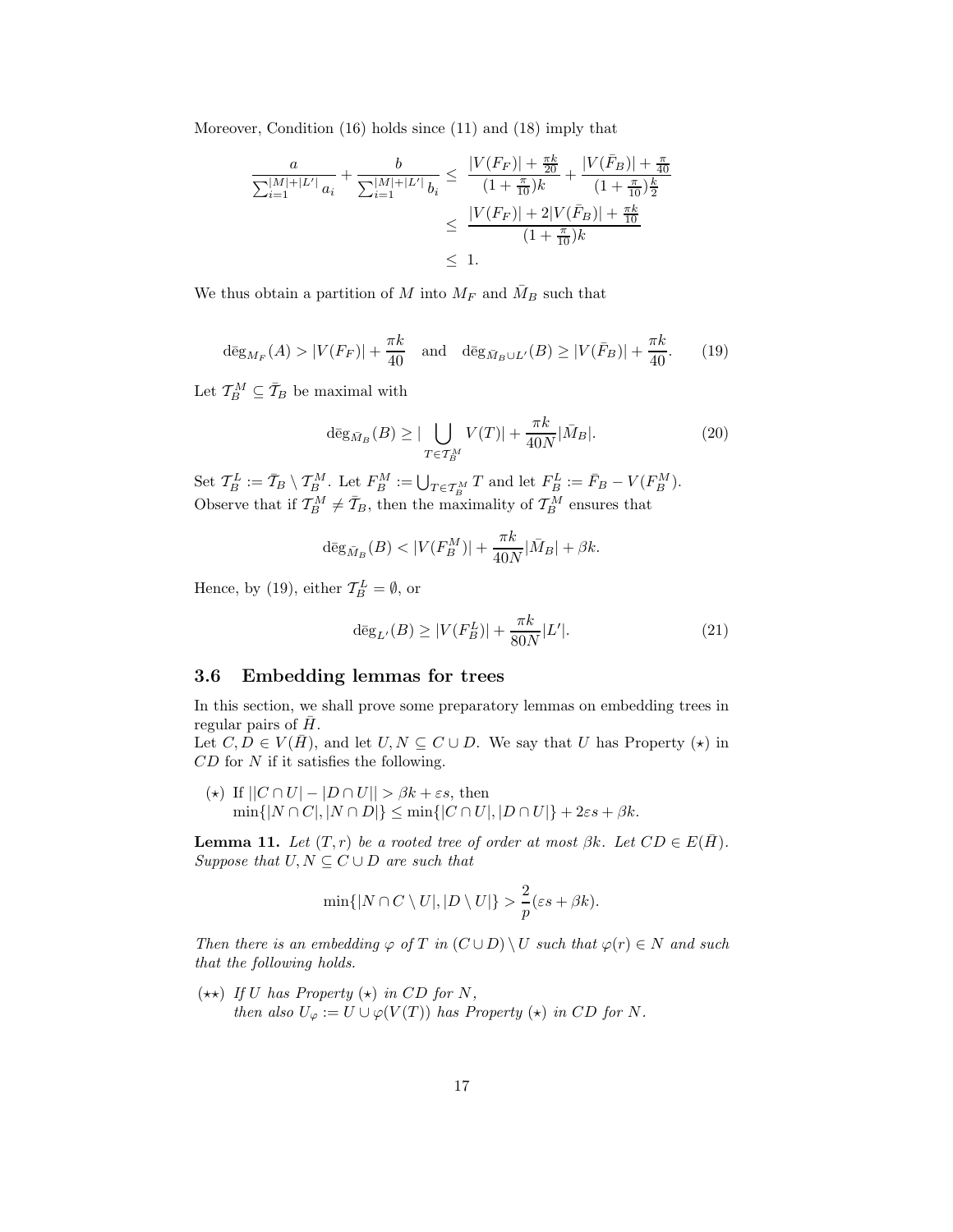Moreover, Condition (16) holds since (11) and (18) imply that

$$
\frac{a}{\sum_{i=1}^{|M|+|L'|} a_i} + \frac{b}{\sum_{i=1}^{|M|+|L'|} b_i} \le \frac{|V(F_F)| + \frac{\pi k}{20}}{(1+\frac{\pi}{10})k} + \frac{|V(\bar{F}_B)| + \frac{\pi}{40}}{(1+\frac{\pi}{10})\frac{k}{2}} \le \frac{|V(F_F)| + 2|V(\bar{F}_B)| + \frac{\pi k}{10}}{(1+\frac{\pi}{10})k} \le 1.
$$

We thus obtain a partition of M into  $M_F$  and  $\overline{M}_B$  such that

$$
\deg_{M_F}(A) > |V(F_F)| + \frac{\pi k}{40} \quad \text{and} \quad \deg_{\bar{M}_B \cup L'}(B) \ge |V(\bar{F}_B)| + \frac{\pi k}{40}.\tag{19}
$$

Let  $\mathcal{T}_B^M \subseteq \bar{\mathcal{T}}_B$  be maximal with

$$
\deg_{\bar{M}_B}(B) \ge |\bigcup_{T \in \mathcal{T}_B^M} V(T)| + \frac{\pi k}{40N} |\bar{M}_B|. \tag{20}
$$

Set  $\mathcal{T}_B^L := \overline{\mathcal{T}}_B \setminus \mathcal{T}_B^M$ . Let  $F_B^M := \bigcup_{T \in \mathcal{T}_B^M} T$  and let  $F_B^L := \overline{F}_B - V(F_B^M)$ . Observe that if  $\mathcal{T}_B^M \neq \bar{\mathcal{T}}_B$ , then the maximality of  $\mathcal{T}_B^M$  ensures that

$$
\deg_{\bar{M}_B}(B) < |V(F_B^M)| + \frac{\pi k}{40N} |\bar{M}_B| + \beta k.
$$

Hence, by (19), either  $\mathcal{T}_B^L = \emptyset$ , or

$$
d\bar{e}g_{L'}(B) \ge |V(F_B^L)| + \frac{\pi k}{80N}|L'|.
$$
 (21)

## 3.6 Embedding lemmas for trees

In this section, we shall prove some preparatory lemmas on embedding trees in regular pairs of  $\bar{H}$ .

Let  $C, D \in V(\overline{H})$ , and let  $U, N \subseteq C \cup D$ . We say that U has Property  $(\star)$  in CD for N if it satisfies the following.

(★) If  $||C \cap U| - |D \cap U|| > \beta k + \varepsilon s$ , then  $\min\{|N \cap C|, |N \cap D|\} \leq \min\{|C \cap U|, |D \cap U|\} + 2\varepsilon s + \beta k.$ 

**Lemma 11.** Let  $(T, r)$  be a rooted tree of order at most  $\beta k$ . Let  $CD \in E(\overline{H})$ . Suppose that  $U, N \subseteq C \cup D$  are such that

$$
\min\{|N\cap C\setminus U|, |D\setminus U|\} > \frac{2}{p}(\varepsilon s + \beta k).
$$

Then there is an embedding  $\varphi$  of T in  $(C \cup D) \setminus U$  such that  $\varphi(r) \in N$  and such that the following holds.

 $(\star \star)$  If U has Property  $(\star)$  in CD for N, then also  $U_{\varphi} := U \cup \varphi(V(T))$  has Property  $(\star)$  in CD for N.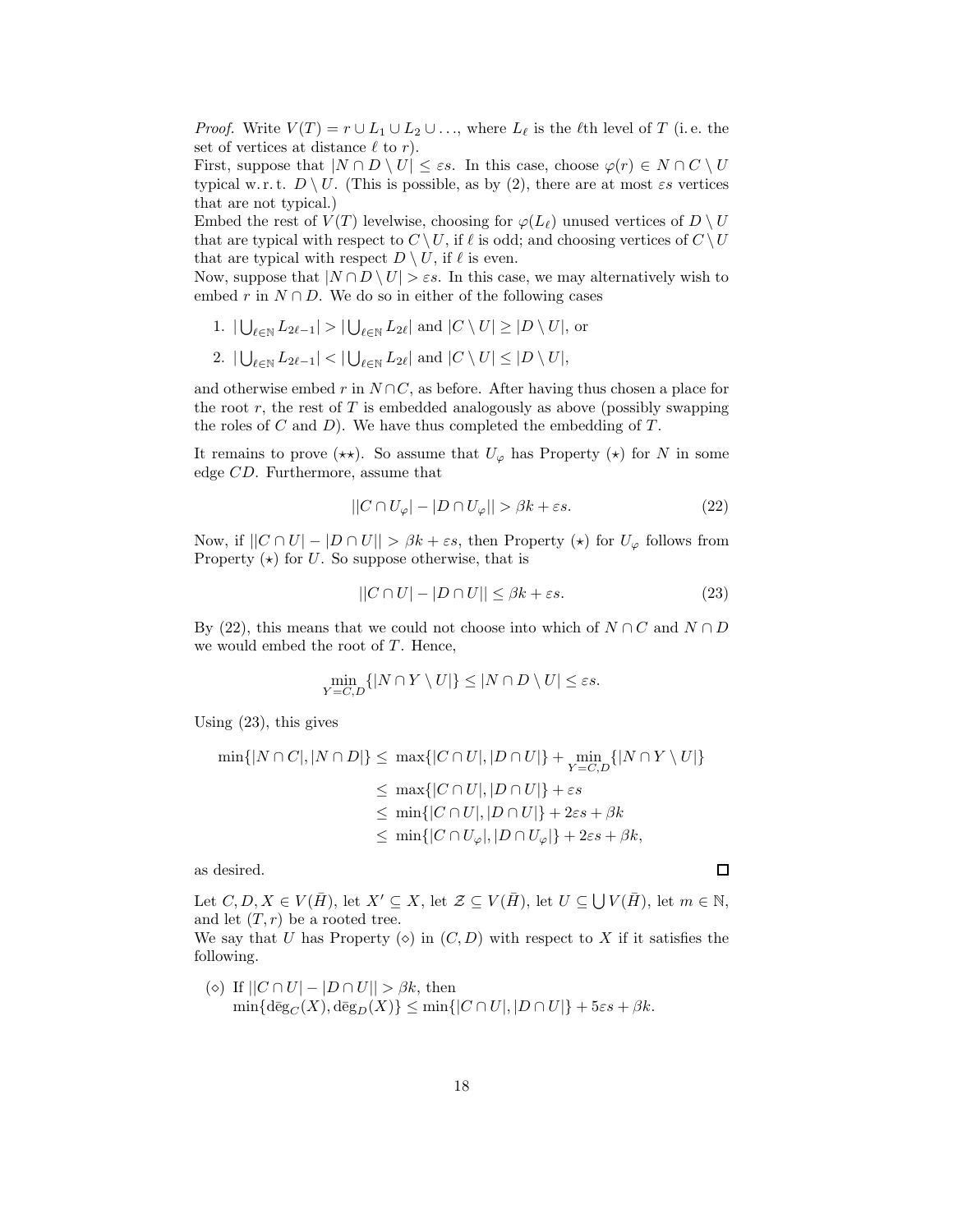*Proof.* Write  $V(T) = r \cup L_1 \cup L_2 \cup \ldots$ , where  $L_\ell$  is the  $\ell$ th level of T (i.e. the set of vertices at distance  $\ell$  to r).

First, suppose that  $|N \cap D \setminus U| \leq \varepsilon s$ . In this case, choose  $\varphi(r) \in N \cap C \setminus U$ typical w.r. t.  $D \setminus U$ . (This is possible, as by (2), there are at most  $\epsilon s$  vertices that are not typical.)

Embed the rest of  $V(T)$  levelwise, choosing for  $\varphi(L_{\ell})$  unused vertices of  $D \setminus U$ that are typical with respect to  $C \setminus U$ , if  $\ell$  is odd; and choosing vertices of  $C \setminus U$ that are typical with respect  $D \setminus U$ , if  $\ell$  is even.

Now, suppose that  $|N \cap D \setminus U| > \varepsilon s$ . In this case, we may alternatively wish to embed r in  $N \cap D$ . We do so in either of the following cases

- 1.  $|\bigcup_{\ell \in \mathbb{N}} L_{2\ell-1}| > |\bigcup_{\ell \in \mathbb{N}} L_{2\ell}|$  and  $|C \setminus U| \geq |D \setminus U|$ , or
- 2.  $|\bigcup_{\ell \in \mathbb{N}} L_{2\ell-1}| < |\bigcup_{\ell \in \mathbb{N}} L_{2\ell}|$  and  $|C \setminus U| \leq |D \setminus U|$ ,

and otherwise embed r in  $N \cap C$ , as before. After having thus chosen a place for the root  $r$ , the rest of  $T$  is embedded analogously as above (possibly swapping the roles of  $C$  and  $D$ ). We have thus completed the embedding of  $T$ .

It remains to prove  $(\star\star)$ . So assume that  $U_{\varphi}$  has Property  $(\star)$  for N in some edge CD. Furthermore, assume that

$$
||C \cap U_{\varphi}|-|D \cap U_{\varphi}|| > \beta k + \varepsilon s. \tag{22}
$$

Now, if  $||C \cap U| - |D \cap U|| > \beta k + \varepsilon s$ , then Property (\*) for  $U_{\varphi}$  follows from Property  $(\star)$  for U. So suppose otherwise, that is

$$
||C \cap U| - |D \cap U|| \le \beta k + \varepsilon s. \tag{23}
$$

By (22), this means that we could not choose into which of  $N \cap C$  and  $N \cap D$ we would embed the root of  $T$ . Hence,

$$
\min_{Y=C,D} \{|N \cap Y \setminus U|\} \le |N \cap D \setminus U| \le \varepsilon s.
$$

Using (23), this gives

$$
\min\{|N \cap C|, |N \cap D|\} \leq \max\{|C \cap U|, |D \cap U|\} + \min_{Y=C,D}\{|N \cap Y \setminus U|\}
$$
  

$$
\leq \max\{|C \cap U|, |D \cap U|\} + \varepsilon s
$$
  

$$
\leq \min\{|C \cap U|, |D \cap U|\} + 2\varepsilon s + \beta k
$$
  

$$
\leq \min\{|C \cap U_{\varphi}|, |D \cap U_{\varphi}|\} + 2\varepsilon s + \beta k,
$$

as desired.

Let  $C, D, X \in V(\overline{H})$ , let  $X' \subseteq X$ , let  $\mathcal{Z} \subseteq V(\overline{H})$ , let  $U \subseteq \bigcup V(\overline{H})$ , let  $m \in \mathbb{N}$ , and let  $(T, r)$  be a rooted tree. We say that U has Property  $(\diamond)$  in  $(C, D)$  with respect to X if it satisfies the

following.

\n- (
$$
\diamond
$$
) If  $||C \cap U| - |D \cap U|| > \beta k$ , then  $\min\{\deg_C(X), \deg_D(X)\} \leq \min\{|C \cap U|, |D \cap U|\} + 5\epsilon s + \beta k$ .
\n

 $\Box$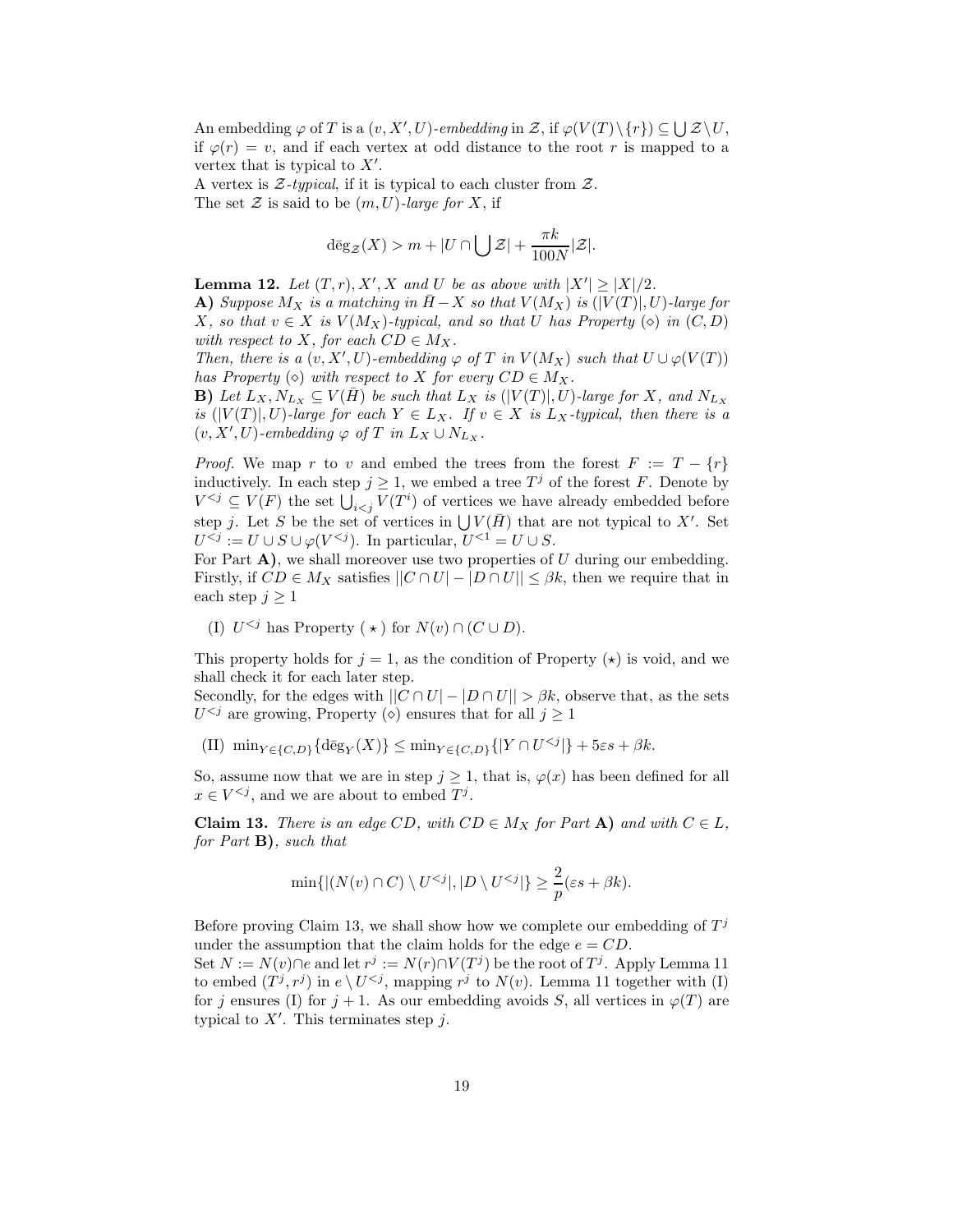An embedding  $\varphi$  of T is a  $(v, X', U)$ -embedding in Z, if  $\varphi(V(T) \setminus \{r\}) \subseteq \bigcup Z \setminus U$ , if  $\varphi(r) = v$ , and if each vertex at odd distance to the root r is mapped to a vertex that is typical to  $X'$ .

A vertex is  $\mathcal{Z}\text{-}typical$ , if it is typical to each cluster from  $\mathcal{Z}$ . The set  $\mathcal Z$  is said to be  $(m, U)$ -large for X, if

$$
\deg_{\mathcal{Z}}(X) > m + |U \cap \bigcup \mathcal{Z}| + \frac{\pi k}{100N}|\mathcal{Z}|.
$$

**Lemma 12.** Let  $(T, r)$ ,  $X'$ ,  $X$  and  $U$  be as above with  $|X'| \ge |X|/2$ . A) Suppose  $M_X$  is a matching in  $H-X$  so that  $V(M_X)$  is  $(|V(T)|, U)$ -large for X, so that  $v \in X$  is  $V(M_X)$ -typical, and so that U has Property ( $\diamond$ ) in  $(C, D)$ with respect to X, for each  $CD \in M_X$ .

Then, there is a  $(v, X', U)$ -embedding  $\varphi$  of T in  $V(M_X)$  such that  $U \cup \varphi(V(T))$ has Property  $(\diamond)$  with respect to X for every  $CD \in M_X$ .

**B)** Let  $L_X, N_{L_X} \subseteq V(H)$  be such that  $L_X$  is  $(|V(T)|, U)$ -large for X, and  $N_{L_X}$ is  $(|V(T)|, U)$ -large for each  $Y \in L_X$ . If  $v \in X$  is  $L_X$ -typical, then there is a  $(v, X', U)$ -embedding  $\varphi$  of T in  $L_X \cup N_{L_X}$ .

*Proof.* We map r to v and embed the trees from the forest  $F := T - \{r\}$ inductively. In each step  $j \geq 1$ , we embed a tree  $T<sup>j</sup>$  of the forest F. Denote by  $V^{< j} \subseteq V(F)$  the set  $\bigcup_{i < j} V(T^i)$  of vertices we have already embedded before step j. Let S be the set of vertices in  $\bigcup V(\bar{H})$  that are not typical to X'. Set  $U^{< j} := U \cup S \cup \varphi(V^{< j})$ . In particular,  $U^{< 1} = U \cup S$ .

For Part  $\bf{A}$ ), we shall moreover use two properties of U during our embedding. Firstly, if  $CD \in M_X$  satisfies  $||C \cap U| - |D \cap U|| \leq \beta k$ , then we require that in each step  $j \geq 1$ 

(I)  $U^{< j}$  has Property  $(\star)$  for  $N(v) \cap (C \cup D)$ .

This property holds for  $j = 1$ , as the condition of Property  $(\star)$  is void, and we shall check it for each later step.

Secondly, for the edges with  $||C \cap U| - |D \cap U|| > \beta k$ , observe that, as the sets  $U^{< j}$  are growing, Property  $(\diamond)$  ensures that for all  $j \geq 1$ 

(II)  $\min_{Y \in \{C, D\}} {\{\text{deg}_Y(X)\}} \le \min_{Y \in \{C, D\}} {\{|Y \cap U^{< j}|\}} + 5\epsilon s + \beta k.$ 

So, assume now that we are in step  $j \geq 1$ , that is,  $\varphi(x)$  has been defined for all  $x \in V^{\leq j}$ , and we are about to embed  $T^j$ .

**Claim 13.** There is an edge CD, with  $CD \in M_X$  for Part **A**) and with  $C \in L$ , for Part  $\bf{B}$ ), such that

$$
\min\{|(N(v)\cap C)\setminus U^{< j}|,|D\setminus U^{< j}|\}\geq \frac{2}{p}(\varepsilon s+\beta k).
$$

Before proving Claim 13, we shall show how we complete our embedding of  $T<sup>j</sup>$ under the assumption that the claim holds for the edge  $e = CD$ .

Set  $N := N(v) \cap e$  and let  $r^j := N(r) \cap V(T^j)$  be the root of  $T^j$ . Apply Lemma 11 to embed  $(T^j, r^j)$  in  $e \setminus U^{, mapping  $r^j$  to  $N(v)$ . Lemma 11 together with (I)$ for j ensures (I) for  $j + 1$ . As our embedding avoids S, all vertices in  $\varphi(T)$  are typical to  $X'$ . This terminates step j.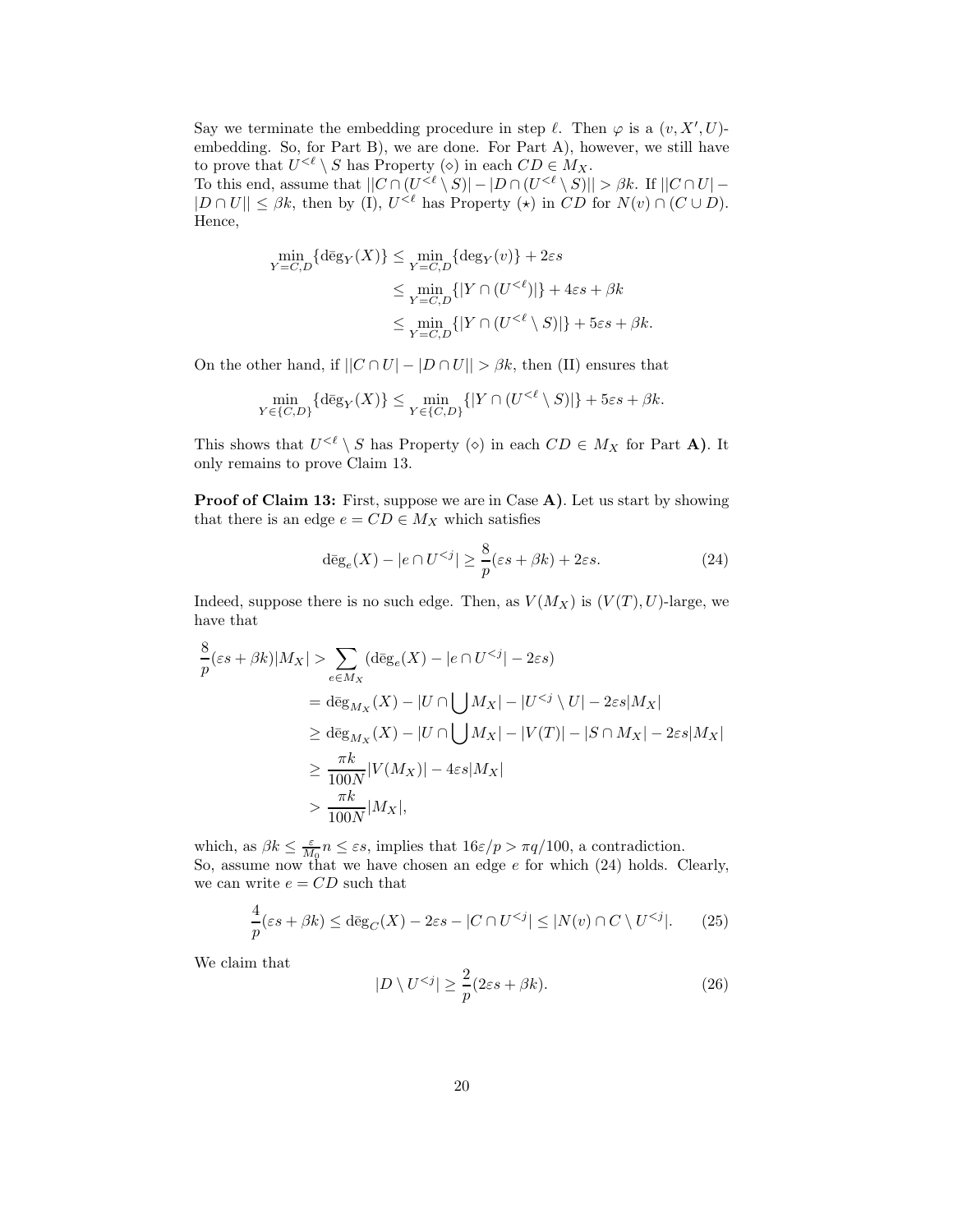Say we terminate the embedding procedure in step  $\ell$ . Then  $\varphi$  is a  $(v, X', U)$ embedding. So, for Part B), we are done. For Part A), however, we still have to prove that  $U^{<\ell} \setminus S$  has Property ( $\diamond$ ) in each  $CD \in M_X$ . To this end, assume that  $||C \cap (U^{\leq \ell} \setminus S)| - |D \cap (U^{\leq \ell} \setminus S)|| > \beta k$ . If  $||C \cap U| |D \cap U| \leq \beta k$ , then by (I),  $U^{<\ell}$  has Property  $(\star)$  in  $CD$  for  $N(v) \cap (C \cup D)$ . Hence,

$$
\begin{aligned} \min_{Y=C,D}\{\mathsf{d\bar{e}g}_Y(X)\} &\leq \min_{Y=C,D}\{\mathsf{deg}_Y(v)\} + 2\varepsilon s\\ &\leq \min_{Y=C,D}\{|Y\cap (U^{<\ell})|\} + 4\varepsilon s + \beta k\\ &\leq \min_{Y=C,D}\{|Y\cap (U^{<\ell}\setminus S)|\} + 5\varepsilon s + \beta k. \end{aligned}
$$

On the other hand, if  $||C \cap U| - |D \cap U|| > \beta k$ , then (II) ensures that

$$
\min_{Y \in \{C,D\}} \{ \deg_Y(X) \} \le \min_{Y \in \{C,D\}} \{ |Y \cap (U^{<\ell} \setminus S)| \} + 5\varepsilon s + \beta k.
$$

This shows that  $U^{<\ell} \setminus S$  has Property ( $\diamond$ ) in each  $CD \in M_X$  for Part **A**). It only remains to prove Claim 13.

Proof of Claim 13: First, suppose we are in Case A). Let us start by showing that there is an edge  $e = CD \in M_X$  which satisfies

$$
\deg_e(X) - |e \cap U^{< j}| \ge \frac{8}{p}(\varepsilon s + \beta k) + 2\varepsilon s. \tag{24}
$$

Indeed, suppose there is no such edge. Then, as  $V(M_X)$  is  $(V(T), U)$ -large, we have that

$$
\frac{8}{p}(\varepsilon s + \beta k)|M_X| > \sum_{e \in M_X} (\text{deg}_e(X) - |e \cap U^{<} - 2\varepsilon s)
$$
\n
$$
= \text{deg}_{M_X}(X) - |U \cap \bigcup M_X| - |U^{<} \setminus U| - 2\varepsilon s|M_X|
$$
\n
$$
\geq \text{deg}_{M_X}(X) - |U \cap \bigcup M_X| - |V(T)| - |S \cap M_X| - 2\varepsilon s|M_X|
$$
\n
$$
\geq \frac{\pi k}{100N}|V(M_X)| - 4\varepsilon s|M_X|
$$
\n
$$
> \frac{\pi k}{100N}|M_X|,
$$

which, as  $\beta k \leq \frac{\varepsilon}{M_0} n \leq \varepsilon s$ , implies that  $16\varepsilon/p > \pi q/100$ , a contradiction. So, assume now that we have chosen an edge  $e$  for which  $(24)$  holds. Clearly, we can write  $e = CD$  such that

$$
\frac{4}{p}(\varepsilon s + \beta k) \le \text{deg}_C(X) - 2\varepsilon s - |C \cap U^{< j}| \le |N(v) \cap C \setminus U^{< j}|. \tag{25}
$$

We claim that

$$
|D \setminus U^{
$$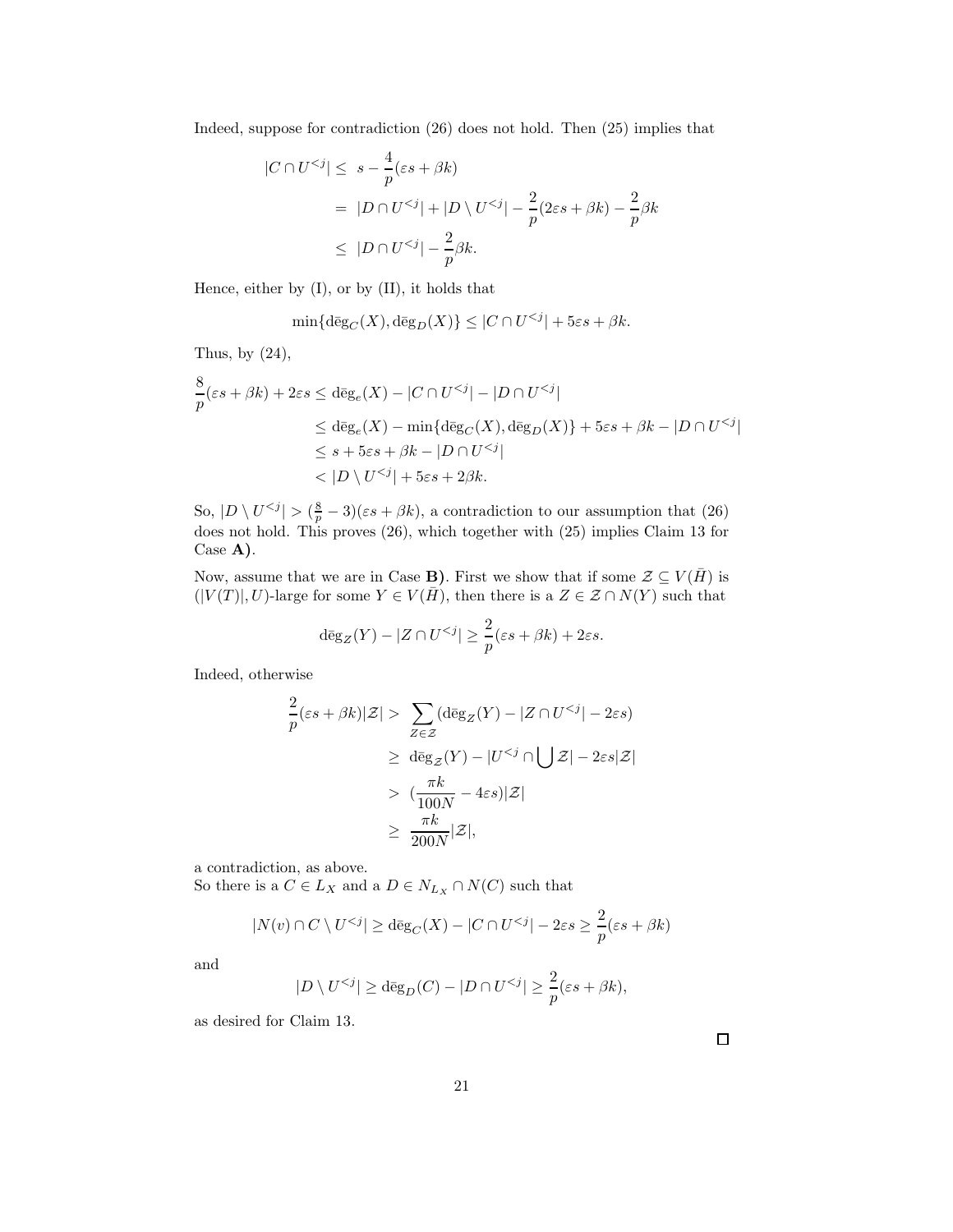Indeed, suppose for contradiction (26) does not hold. Then (25) implies that

$$
|C \cap U^{<}| \leq s - \frac{4}{p}(\varepsilon s + \beta k)
$$
\n
$$
= |D \cap U^{<}| + |D \setminus U^{<}| - \frac{2}{p}(2\varepsilon s + \beta k) - \frac{2}{p}\beta k
$$
\n
$$
\leq |D \cap U^{<}| - \frac{2}{p}\beta k.
$$

Hence, either by (I), or by (II), it holds that

$$
\min\{\deg_C(X),\deg_D(X)\} \leq |C \cap U^{< j}| + 5\varepsilon s + \beta k.
$$

Thus, by  $(24)$ ,

$$
\frac{8}{p}(\varepsilon s + \beta k) + 2\varepsilon s \le \text{deg}_e(X) - |C \cap U^{  
\n
$$
\le \text{deg}_e(X) - \min\{\text{deg}_C(X), \text{deg}_D(X)\} + 5\varepsilon s + \beta k - |D \cap U^{  
\n
$$
\le s + 5\varepsilon s + \beta k - |D \cap U^{  
\n
$$
< |D \setminus U^{
$$
$$
$$
$$

So,  $|D \setminus U^{<}| > (\frac{8}{p} - 3)(\varepsilon s + \beta k)$ , a contradiction to our assumption that  $(26)$ does not hold. This proves (26), which together with (25) implies Claim 13 for Case A).

Now, assume that we are in Case **B**). First we show that if some  $\mathcal{Z} \subseteq V(\bar{H})$  is  $(|V(T)|, U)$ -large for some  $Y \in V(H)$ , then there is a  $Z \in \mathcal{Z} \cap N(Y)$  such that

$$
\deg_Z(Y) - |Z \cap U^{< j}| \geq \frac{2}{p}(\varepsilon s + \beta k) + 2\varepsilon s.
$$

Indeed, otherwise

$$
\frac{2}{p}(\varepsilon s + \beta k)|\mathcal{Z}| > \sum_{Z \in \mathcal{Z}} (\deg_Z(Y) - |Z \cap U^{ (\frac{\pi k}{100N} - 4\varepsilon s)|\mathcal{Z}| \\
&\geq \frac{\pi k}{200N}|\mathcal{Z}|,
$$

a contradiction, as above.

So there is a  $C\in L_X$  and a  $D\in N_{L_X}\cap N(C)$  such that

$$
|N(v) \cap C \setminus U^{< j}| \ge \deg_C(X) - |C \cap U^{< j}| - 2\varepsilon s \ge \frac{2}{p}(\varepsilon s + \beta k)
$$

and

$$
|D \setminus U^{< j}| \ge \deg_D(C) - |D \cap U^{< j}| \ge \frac{2}{p}(\varepsilon s + \beta k),
$$

as desired for Claim 13.

 $\Box$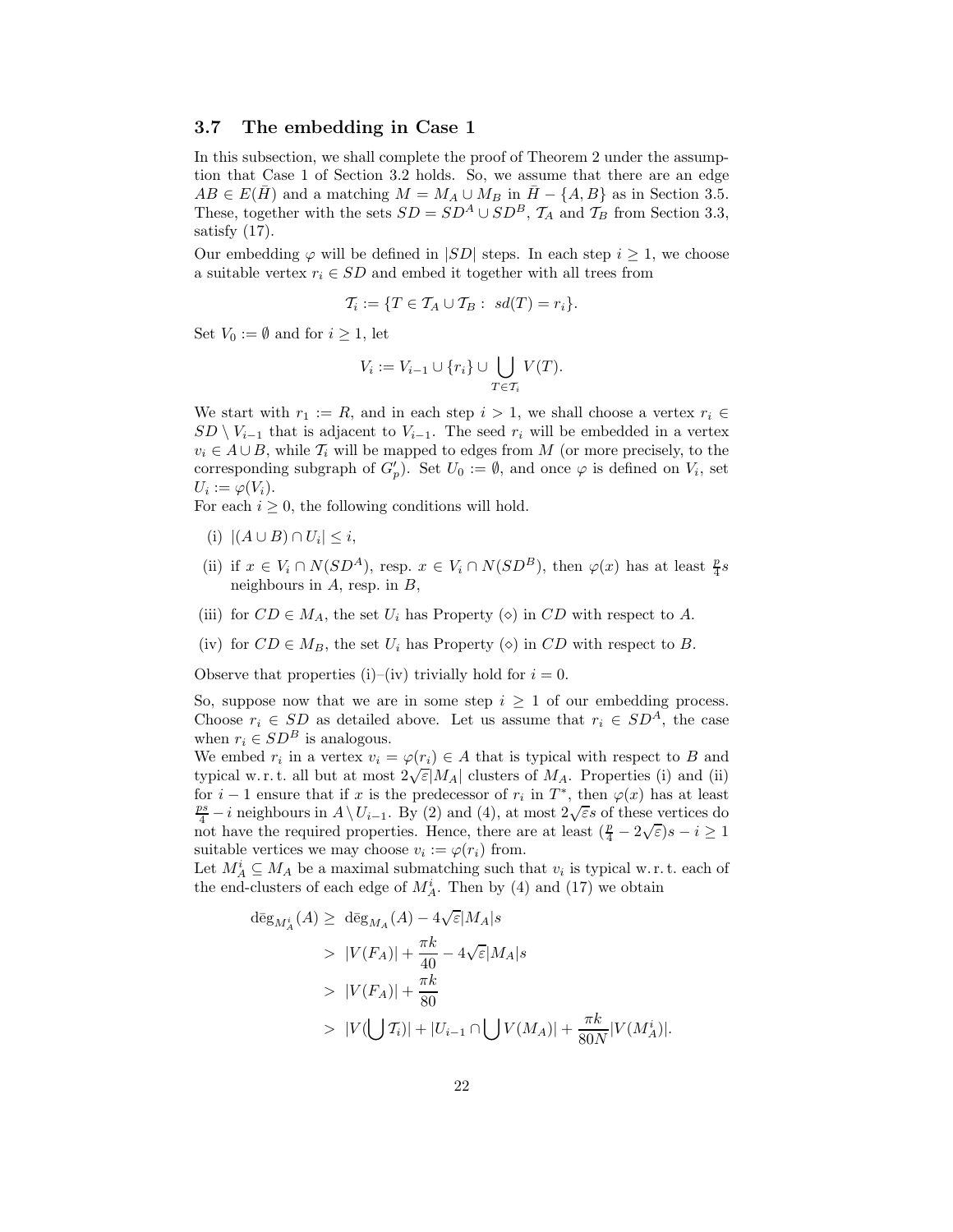## 3.7 The embedding in Case 1

In this subsection, we shall complete the proof of Theorem 2 under the assumption that Case 1 of Section 3.2 holds. So, we assume that there are an edge  $AB \in E(H)$  and a matching  $M = M_A \cup M_B$  in  $H - \{A, B\}$  as in Section 3.5. These, together with the sets  $SD = SD^A \cup SD^B$ ,  $\mathcal{T}_A$  and  $\mathcal{T}_B$  from Section 3.3, satisfy (17).

Our embedding  $\varphi$  will be defined in  $|SD|$  steps. In each step  $i \geq 1$ , we choose a suitable vertex  $r_i \in SD$  and embed it together with all trees from

$$
\mathcal{T}_i := \{ T \in \mathcal{T}_A \cup \mathcal{T}_B : sd(T) = r_i \}.
$$

Set  $V_0 := \emptyset$  and for  $i \geq 1$ , let

$$
V_i := V_{i-1} \cup \{r_i\} \cup \bigcup_{T \in \mathcal{T}_i} V(T).
$$

We start with  $r_1 := R$ , and in each step  $i > 1$ , we shall choose a vertex  $r_i \in$  $SD \setminus V_{i-1}$  that is adjacent to  $V_{i-1}$ . The seed  $r_i$  will be embedded in a vertex  $v_i \in A \cup B$ , while  $\mathcal{T}_i$  will be mapped to edges from M (or more precisely, to the corresponding subgraph of  $G'_p$ ). Set  $U_0 := \emptyset$ , and once  $\varphi$  is defined on  $V_i$ , set  $U_i := \varphi(V_i).$ 

For each  $i \geq 0$ , the following conditions will hold.

- (i)  $|(A \cup B) \cap U_i| \leq i$ ,
- (ii) if  $x \in V_i \cap N(SD^A)$ , resp.  $x \in V_i \cap N(SD^B)$ , then  $\varphi(x)$  has at least  $\frac{p}{4}s$ neighbours in  $A$ , resp. in  $B$ ,
- (iii) for  $CD \in M_A$ , the set  $U_i$  has Property ( $\diamond$ ) in  $CD$  with respect to A.
- (iv) for  $CD \in M_B$ , the set  $U_i$  has Property ( $\diamond$ ) in  $CD$  with respect to B.

Observe that properties (i)–(iv) trivially hold for  $i = 0$ .

So, suppose now that we are in some step  $i \geq 1$  of our embedding process. Choose  $r_i \in SD$  as detailed above. Let us assume that  $r_i \in SD^A$ , the case when  $r_i \in SD^B$  is analogous.

We embed  $r_i$  in a vertex  $v_i = \varphi(r_i) \in A$  that is typical with respect to B and typical w.r.t. all but at most  $2\sqrt{\varepsilon}|M_A|$  clusters of  $M_A$ . Properties (i) and (ii) for  $i-1$  ensure that if x is the predecessor of  $r_i$  in  $T^*$ , then  $\varphi(x)$  has at least  $\frac{ps}{4} - i$  neighbours in  $A \setminus U_{i-1}$ . By (2) and (4), at most  $2\sqrt{\varepsilon}s$  of these vertices do not have the required properties. Hence, there are at least  $(\frac{p}{4} - 2\sqrt{\varepsilon})s - i \ge 1$ suitable vertices we may choose  $v_i := \varphi(r_i)$  from.

Let  $M_A^i \subseteq M_A$  be a maximal submatching such that  $v_i$  is typical w.r.t. each of the end-clusters of each edge of  $M_A^i$ . Then by (4) and (17) we obtain

$$
\begin{aligned}\n\deg_{M_A^i}(A) &\geq \deg_{M_A}(A) - 4\sqrt{\varepsilon}|M_A|s \\
&\geq |V(F_A)| + \frac{\pi k}{40} - 4\sqrt{\varepsilon}|M_A|s \\
&\geq |V(F_A)| + \frac{\pi k}{80} \\
&\geq |V(\bigcup \mathcal{T}_i)| + |U_{i-1} \cap \bigcup V(M_A)| + \frac{\pi k}{80N}|V(M_A^i)|.\n\end{aligned}
$$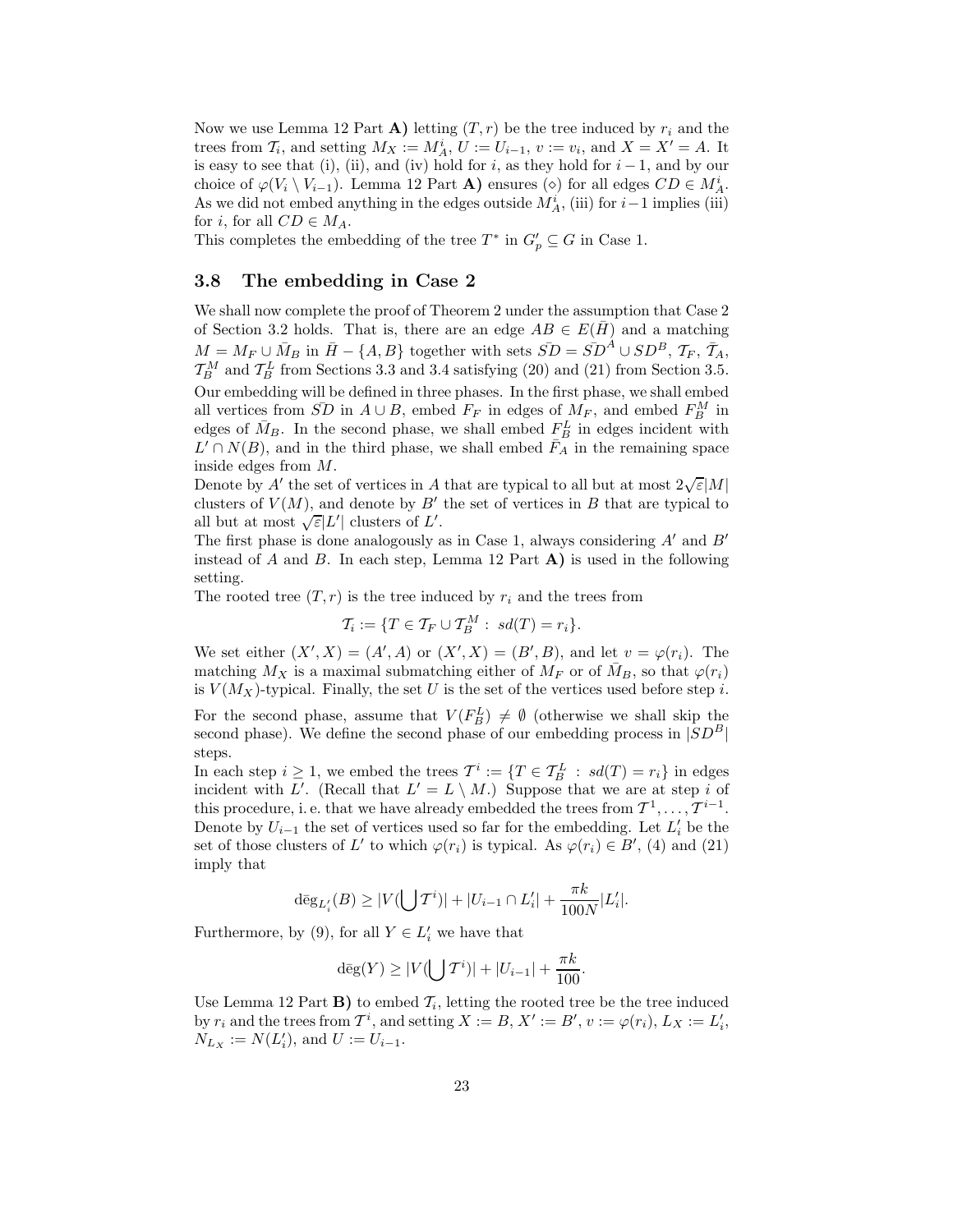Now we use Lemma 12 Part A) letting  $(T, r)$  be the tree induced by  $r_i$  and the trees from  $\mathcal{T}_i$ , and setting  $M_X := M_A^i$ ,  $U := U_{i-1}$ ,  $v := v_i$ , and  $X = X' = A$ . It is easy to see that (i), (ii), and (iv) hold for i, as they hold for  $i - 1$ , and by our choice of  $\varphi(V_i \setminus V_{i-1})$ . Lemma 12 Part **A**) ensures (◇) for all edges  $CD \in M_A^i$ . As we did not embed anything in the edges outside  $M_A^i$ , (iii) for  $i-1$  implies (iii) for *i*, for all  $CD \in M_A$ .

This completes the embedding of the tree  $T^*$  in  $G'_p \subseteq G$  in Case 1.

## 3.8 The embedding in Case 2

We shall now complete the proof of Theorem 2 under the assumption that Case 2 of Section 3.2 holds. That is, there are an edge  $AB \in E(\overline{H})$  and a matching  $M = M_F \cup \bar{M}_B$  in  $\bar{H} - \{A, B\}$  together with sets  $\bar{SD} = \bar{SD}^A \cup SD^B$ ,  $\mathcal{T}_F$ ,  $\bar{\mathcal{T}}_A$ ,  $\mathcal{T}_B^M$  and  $\mathcal{T}_B^L$  from Sections 3.3 and 3.4 satisfying (20) and (21) from Section 3.5. Our embedding will be defined in three phases. In the first phase, we shall embed all vertices from  $\overline{SD}$  in  $A \cup B$ , embed  $F_F$  in edges of  $M_F$ , and embed  $F_B^M$  in edges of  $\bar{M}_B$ . In the second phase, we shall embed  $F_B^L$  in edges incident with  $L' \cap N(B)$ , and in the third phase, we shall embed  $\overline{F}_A$  in the remaining space inside edges from M.

Denote by A' the set of vertices in A that are typical to all but at most  $2\sqrt{\varepsilon}|M|$ clusters of  $V(M)$ , and denote by  $B'$  the set of vertices in  $B$  that are typical to all but at most  $\sqrt{\varepsilon} |L'|$  clusters of  $L'$ .

The first phase is done analogously as in Case 1, always considering  $A'$  and  $B'$ instead of A and B. In each step, Lemma 12 Part  $\bf{A}$ ) is used in the following setting.

The rooted tree  $(T, r)$  is the tree induced by  $r_i$  and the trees from

$$
\mathcal{T}_i := \{ T \in \mathcal{T}_F \cup \mathcal{T}_B^M : sd(T) = r_i \}.
$$

We set either  $(X', X) = (A', A)$  or  $(X', X) = (B', B)$ , and let  $v = \varphi(r_i)$ . The matching  $M_X$  is a maximal submatching either of  $M_F$  or of  $M_B$ , so that  $\varphi(r_i)$ is  $V(M_X)$ -typical. Finally, the set U is the set of the vertices used before step i.

For the second phase, assume that  $V(F_B^L) \neq \emptyset$  (otherwise we shall skip the second phase). We define the second phase of our embedding process in  $|SD^B|$ steps.

In each step  $i \geq 1$ , we embed the trees  $\mathcal{T}^i := \{T \in \mathcal{T}_B^L : sd(T) = r_i\}$  in edges incident with L'. (Recall that  $L' = L \setminus M$ .) Suppose that we are at step i of this procedure, i. e. that we have already embedded the trees from  $T^1, \ldots, T^{i-1}$ . Denote by  $U_{i-1}$  the set of vertices used so far for the embedding. Let  $L'_{i}$  be the set of those clusters of L' to which  $\varphi(r_i)$  is typical. As  $\varphi(r_i) \in B'$ , (4) and (21) imply that

$$
\deg_{L_i'}(B) \ge |V(\bigcup \mathcal{T}^i)| + |U_{i-1} \cap L_i'| + \frac{\pi k}{100N} |L_i'|.
$$

Furthermore, by (9), for all  $Y \in L'_i$  we have that

$$
\deg(Y) \ge |V(\bigcup \mathcal{T}^i)| + |U_{i-1}| + \frac{\pi k}{100}.
$$

Use Lemma 12 Part **B**) to embed  $\mathcal{T}_i$ , letting the rooted tree be the tree induced by  $r_i$  and the trees from  $\mathcal{T}^i$ , and setting  $X := B, X' := B'$ ,  $v := \varphi(r_i)$ ,  $L_X := L'_i$ ,  $N_{L_X} := N(L'_i)$ , and  $U := U_{i-1}$ .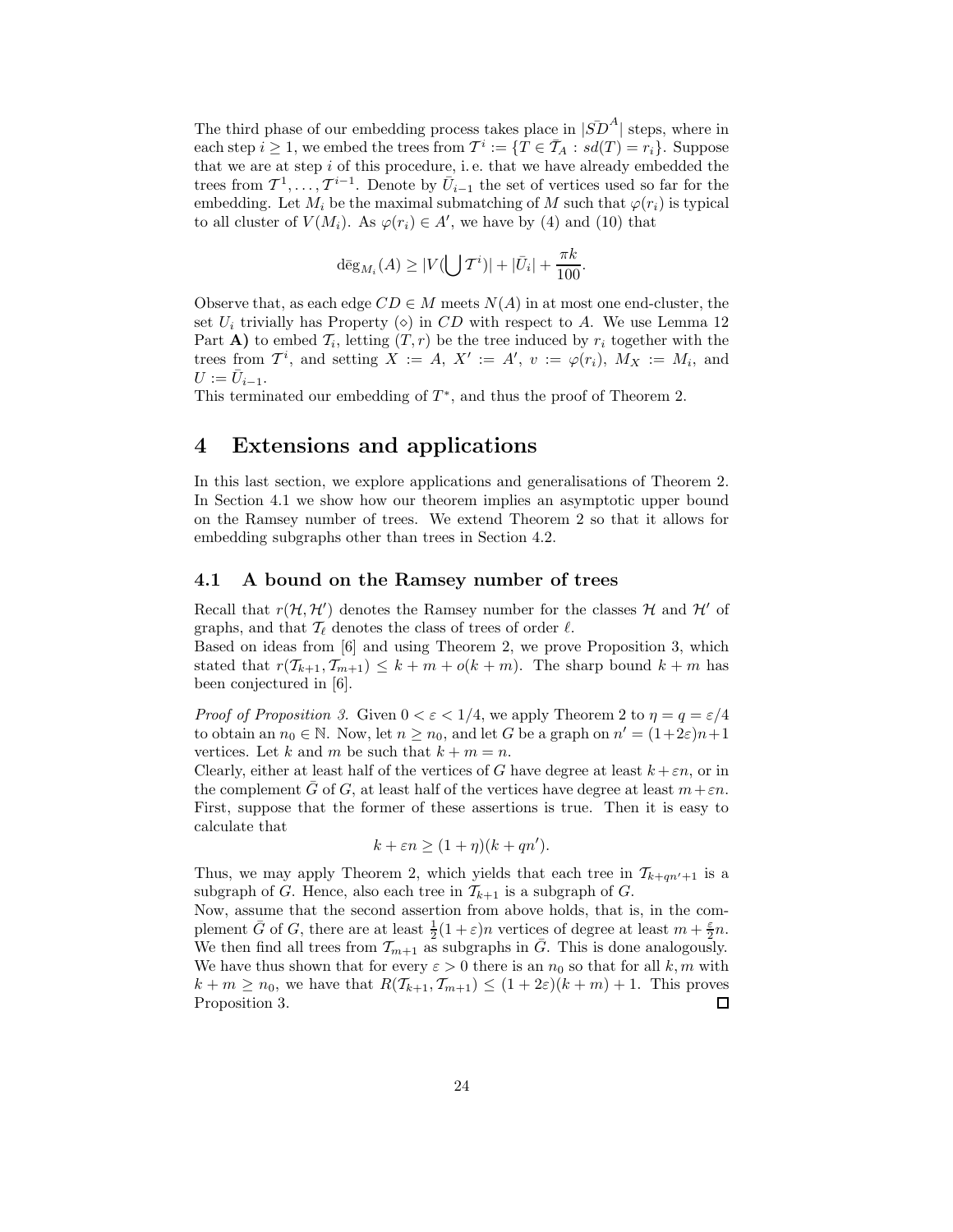The third phase of our embedding process takes place in  $|\overline{SD}^A|$  steps, where in each step  $i \geq 1$ , we embed the trees from  $T^i := \{T \in \overline{T}_A : sd(T) = r_i\}$ . Suppose that we are at step  $i$  of this procedure, i.e. that we have already embedded the trees from  $\mathcal{T}^1, \ldots, \mathcal{T}^{i-1}$ . Denote by  $\bar{U}_{i-1}$  the set of vertices used so far for the embedding. Let  $M_i$  be the maximal submatching of M such that  $\varphi(r_i)$  is typical to all cluster of  $V(M_i)$ . As  $\varphi(r_i) \in A'$ , we have by (4) and (10) that

$$
\deg_{M_i}(A) \ge |V(\bigcup \mathcal{T}^i)| + |\bar{U}_i| + \frac{\pi k}{100}
$$

.

Observe that, as each edge  $CD \in M$  meets  $N(A)$  in at most one end-cluster, the set  $U_i$  trivially has Property  $(\diamond)$  in CD with respect to A. We use Lemma 12 Part **A**) to embed  $\mathcal{T}_i$ , letting  $(T, r)$  be the tree induced by  $r_i$  together with the trees from  $\mathcal{T}^i$ , and setting  $X := A$ ,  $X' := A'$ ,  $v := \varphi(r_i)$ ,  $M_X := M_i$ , and  $U := \bar{U}_{i-1}.$ 

This terminated our embedding of  $T^*$ , and thus the proof of Theorem 2.

# 4 Extensions and applications

In this last section, we explore applications and generalisations of Theorem 2. In Section 4.1 we show how our theorem implies an asymptotic upper bound on the Ramsey number of trees. We extend Theorem 2 so that it allows for embedding subgraphs other than trees in Section 4.2.

## 4.1 A bound on the Ramsey number of trees

Recall that  $r(\mathcal{H},\mathcal{H}')$  denotes the Ramsey number for the classes  $\mathcal{H}$  and  $\mathcal{H}'$  of graphs, and that  $\mathcal{T}_{\ell}$  denotes the class of trees of order  $\ell$ .

Based on ideas from [6] and using Theorem 2, we prove Proposition 3, which stated that  $r(\mathcal{T}_{k+1}, \mathcal{T}_{m+1}) \leq k + m + o(k + m)$ . The sharp bound  $k + m$  has been conjectured in [6].

*Proof of Proposition 3.* Given  $0 < \varepsilon < 1/4$ , we apply Theorem 2 to  $\eta = q = \varepsilon/4$ to obtain an  $n_0 \in \mathbb{N}$ . Now, let  $n \ge n_0$ , and let G be a graph on  $n' = (1+2\varepsilon)n+1$ vertices. Let k and m be such that  $k + m = n$ .

Clearly, either at least half of the vertices of G have degree at least  $k + \varepsilon n$ , or in the complement  $\bar{G}$  of  $G$ , at least half of the vertices have degree at least  $m+\varepsilon n$ . First, suppose that the former of these assertions is true. Then it is easy to calculate that

$$
k + \varepsilon n \ge (1 + \eta)(k + qn').
$$

Thus, we may apply Theorem 2, which yields that each tree in  $\mathcal{T}_{k+qn'+1}$  is a subgraph of G. Hence, also each tree in  $\mathcal{T}_{k+1}$  is a subgraph of G.

Now, assume that the second assertion from above holds, that is, in the complement  $\bar{G}$  of  $G$ , there are at least  $\frac{1}{2}(1+\varepsilon)n$  vertices of degree at least  $m + \frac{\varepsilon}{2}n$ . We then find all trees from  $\mathcal{T}_{m+1}$  as subgraphs in  $\overline{G}$ . This is done analogously. We have thus shown that for every  $\varepsilon > 0$  there is an  $n_0$  so that for all k, m with  $k + m \ge n_0$ , we have that  $R(\mathcal{T}_{k+1}, \mathcal{T}_{m+1}) \le (1 + 2\varepsilon)(k + m) + 1$ . This proves Proposition 3. Proposition 3.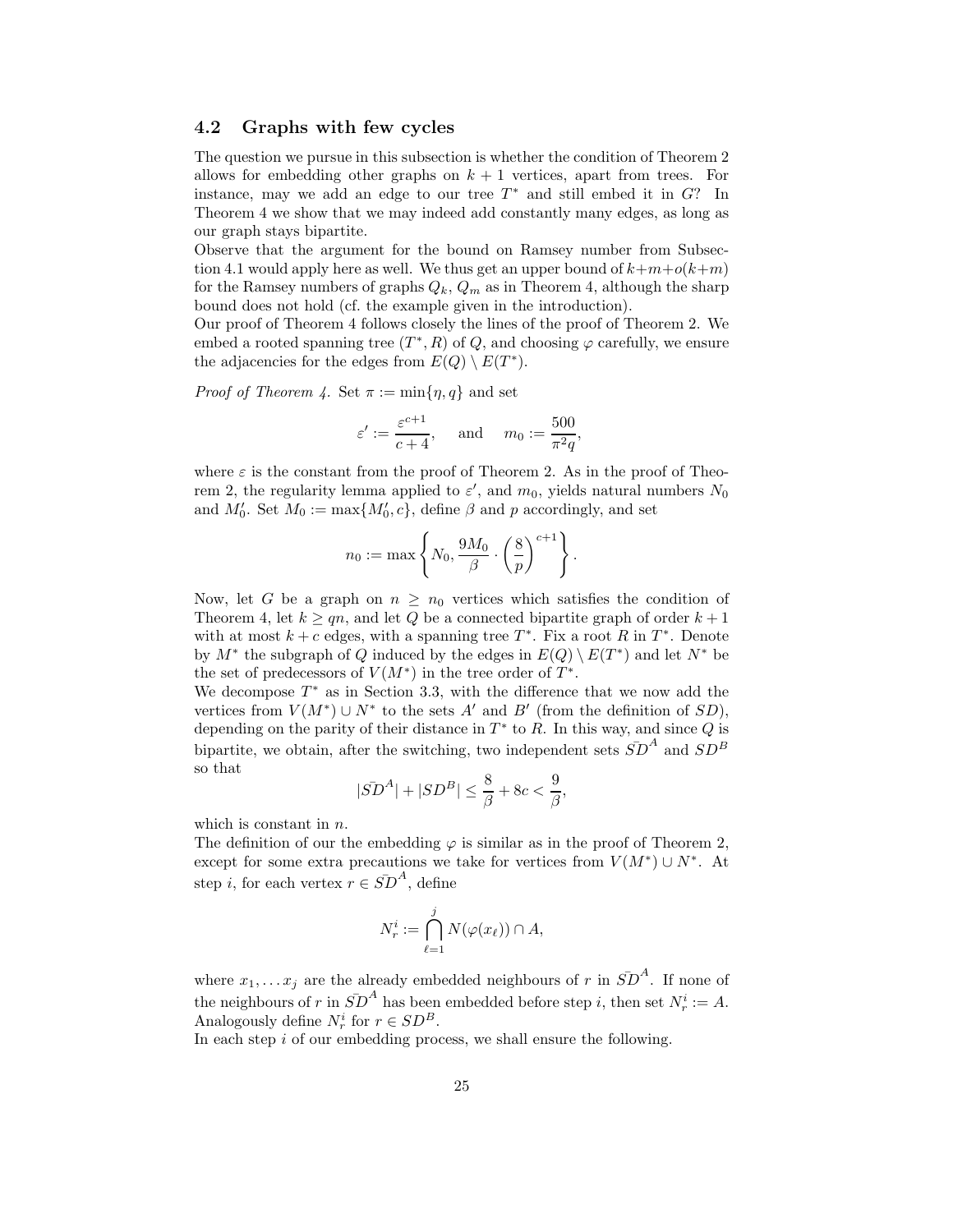## 4.2 Graphs with few cycles

The question we pursue in this subsection is whether the condition of Theorem 2 allows for embedding other graphs on  $k + 1$  vertices, apart from trees. For instance, may we add an edge to our tree  $T^*$  and still embed it in  $G$ ? In Theorem 4 we show that we may indeed add constantly many edges, as long as our graph stays bipartite.

Observe that the argument for the bound on Ramsey number from Subsection 4.1 would apply here as well. We thus get an upper bound of  $k+m+o(k+m)$ for the Ramsey numbers of graphs  $Q_k$ ,  $Q_m$  as in Theorem 4, although the sharp bound does not hold (cf. the example given in the introduction).

Our proof of Theorem 4 follows closely the lines of the proof of Theorem 2. We embed a rooted spanning tree  $(T^*, R)$  of  $Q$ , and choosing  $\varphi$  carefully, we ensure the adjacencies for the edges from  $E(Q) \setminus E(T^*)$ .

*Proof of Theorem 4.* Set  $\pi := \min\{\eta, q\}$  and set

$$
\varepsilon' := \frac{\varepsilon^{c+1}}{c+4}
$$
, and  $m_0 := \frac{500}{\pi^2 q}$ ,

where  $\varepsilon$  is the constant from the proof of Theorem 2. As in the proof of Theorem 2, the regularity lemma applied to  $\varepsilon'$ , and  $m_0$ , yields natural numbers  $N_0$ and  $M'_0$ . Set  $M_0 := \max\{M'_0, c\}$ , define  $\beta$  and  $p$  accordingly, and set

$$
n_0 := \max \left\{ N_0, \frac{9M_0}{\beta} \cdot \left(\frac{8}{p}\right)^{c+1} \right\}.
$$

Now, let G be a graph on  $n \geq n_0$  vertices which satisfies the condition of Theorem 4, let  $k \geq qn$ , and let Q be a connected bipartite graph of order  $k+1$ with at most  $k + c$  edges, with a spanning tree  $T^*$ . Fix a root R in  $T^*$ . Denote by  $M^*$  the subgraph of Q induced by the edges in  $E(Q) \setminus E(T^*)$  and let  $N^*$  be the set of predecessors of  $V(M^*)$  in the tree order of  $T^*$ .

We decompose  $T^*$  as in Section 3.3, with the difference that we now add the vertices from  $V(M^*) \cup N^*$  to the sets A' and B' (from the definition of  $SD$ ), depending on the parity of their distance in  $T^*$  to R. In this way, and since Q is bipartite, we obtain, after the switching, two independent sets  $\overline{SD}^{A}$  and  $SD^{B}$ so that

$$
|\bar{SD}^A| + |SD^B| \le \frac{8}{\beta} + 8c < \frac{9}{\beta},
$$

which is constant in  $n$ .

The definition of our the embedding  $\varphi$  is similar as in the proof of Theorem 2, except for some extra precautions we take for vertices from  $V(M^*)\cup N^*$ . At step *i*, for each vertex  $r \in \overline{SD}^A$ , define

$$
N_r^i := \bigcap_{\ell=1}^j N(\varphi(x_\ell)) \cap A,
$$

where  $x_1, \ldots x_j$  are the already embedded neighbours of r in  $\bar{SD}^A$ . If none of the neighbours of r in  $\overline{SD}^{A}$  has been embedded before step *i*, then set  $N_r^i := A$ . Analogously define  $N_r^i$  for  $r \in SD^B$ .

In each step  $i$  of our embedding process, we shall ensure the following.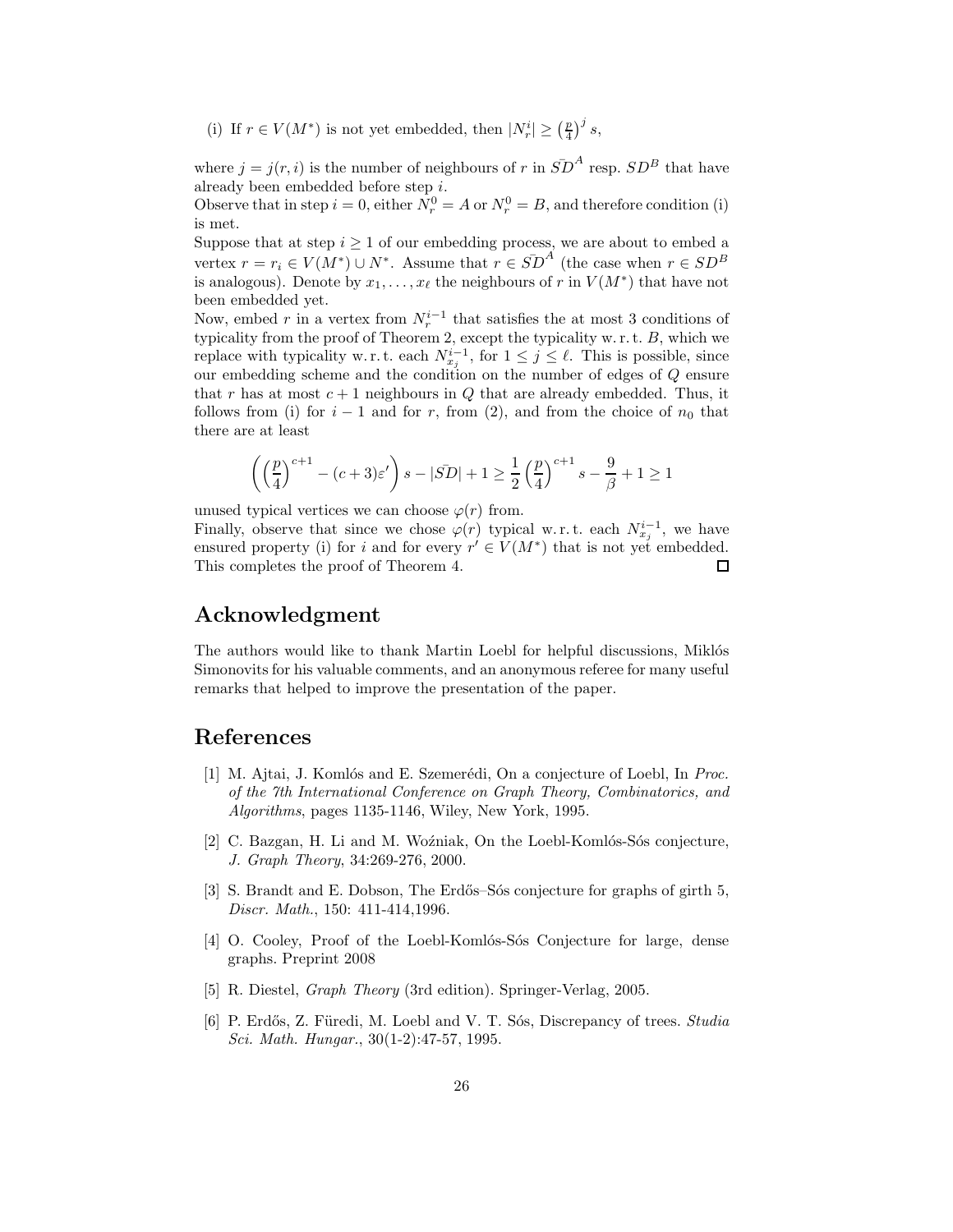(i) If  $r \in V(M^*)$  is not yet embedded, then  $|N_r^i| \geq \left(\frac{p}{4}\right)^j s$ ,

where  $j = j(r, i)$  is the number of neighbours of r in  $\overline{SD}^{A}$  resp.  $SD^{B}$  that have already been embedded before step i.

Observe that in step  $i = 0$ , either  $N_r^0 = A$  or  $N_r^0 = B$ , and therefore condition (i) is met.

Suppose that at step  $i \geq 1$  of our embedding process, we are about to embed a vertex  $r = r_i \in V(M^*) \cup N^*$ . Assume that  $r \in SD^A$  (the case when  $r \in SD^B$ is analogous). Denote by  $x_1, \ldots, x_\ell$  the neighbours of r in  $V(M^*)$  that have not been embedded yet.

Now, embed r in a vertex from  $N_r^{i-1}$  that satisfies the at most 3 conditions of typicality from the proof of Theorem 2, except the typicality w. r.t. B, which we replace with typicality w. r.t. each  $N_{x_j}^{i-1}$ , for  $1 \leq j \leq \ell$ . This is possible, since our embedding scheme and the condition on the number of edges of Q ensure that r has at most  $c + 1$  neighbours in Q that are already embedded. Thus, it follows from (i) for  $i-1$  and for r, from (2), and from the choice of  $n_0$  that there are at least

$$
\left(\left(\frac{p}{4}\right)^{c+1}-(c+3)\varepsilon'\right)s-|\bar{SD}|+1\geq\frac{1}{2}\left(\frac{p}{4}\right)^{c+1}s-\frac{9}{\beta}+1\geq1
$$

unused typical vertices we can choose  $\varphi(r)$  from.

Finally, observe that since we chose  $\varphi(r)$  typical w.r.t. each  $N_{x_j}^{i-1}$ , we have ensured property (i) for i and for every  $r' \in V(M^*)$  that is not yet embedded. This completes the proof of Theorem 4. □

# Acknowledgment

The authors would like to thank Martin Loebl for helpful discussions, Miklós Simonovits for his valuable comments, and an anonymous referee for many useful remarks that helped to improve the presentation of the paper.

## References

- [1] M. Ajtai, J. Komlós and E. Szemerédi, On a conjecture of Loebl, In Proc. of the 7th International Conference on Graph Theory, Combinatorics, and Algorithms, pages 1135-1146, Wiley, New York, 1995.
- [2] C. Bazgan, H. Li and M. Woźniak, On the Loebl-Komlós-Sós conjecture, J. Graph Theory, 34:269-276, 2000.
- [3] S. Brandt and E. Dobson, The Erdős–Sós conjecture for graphs of girth 5, Discr. Math., 150: 411-414,1996.
- [4] O. Cooley, Proof of the Loebl-Komlós-Sós Conjecture for large, dense graphs. Preprint 2008
- [5] R. Diestel, Graph Theory (3rd edition). Springer-Verlag, 2005.
- [6] P. Erdős, Z. Füredi, M. Loebl and V. T. Sós, Discrepancy of trees. *Studia* Sci. Math. Hungar., 30(1-2):47-57, 1995.